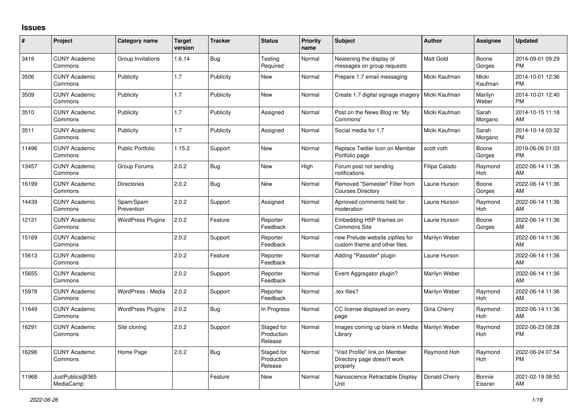## **Issues**

| $\pmb{\sharp}$ | Project                         | <b>Category name</b>     | <b>Target</b><br>version | <b>Tracker</b> | <b>Status</b>                       | <b>Priority</b><br>name | <b>Subject</b>                                                            | <b>Author</b>    | <b>Assignee</b>       | <b>Updated</b>                |
|----------------|---------------------------------|--------------------------|--------------------------|----------------|-------------------------------------|-------------------------|---------------------------------------------------------------------------|------------------|-----------------------|-------------------------------|
| 3419           | <b>CUNY Academic</b><br>Commons | Group Invitations        | 1.6.14                   | Bug            | Testing<br>Required                 | Normal                  | Neatening the display of<br>messages on group requests                    | <b>Matt Gold</b> | Boone<br>Gorges       | 2014-09-01 09:29<br><b>PM</b> |
| 3506           | <b>CUNY Academic</b><br>Commons | Publicity                | 1.7                      | Publicity      | New                                 | Normal                  | Prepare 1.7 email messaging                                               | Micki Kaufman    | Micki<br>Kaufman      | 2014-10-01 12:36<br><b>PM</b> |
| 3509           | <b>CUNY Academic</b><br>Commons | Publicity                | 1.7                      | Publicity      | <b>New</b>                          | Normal                  | Create 1.7 digital signage imagery                                        | Micki Kaufman    | Marilyn<br>Weber      | 2014-10-01 12:40<br><b>PM</b> |
| 3510           | <b>CUNY Academic</b><br>Commons | Publicity                | 1.7                      | Publicity      | Assigned                            | Normal                  | Post on the News Blog re: 'My<br>Commons'                                 | Micki Kaufman    | Sarah<br>Morgano      | 2014-10-15 11:18<br>AM        |
| 3511           | <b>CUNY Academic</b><br>Commons | Publicity                | 1.7                      | Publicity      | Assigned                            | Normal                  | Social media for 1.7                                                      | Micki Kaufman    | Sarah<br>Morgano      | 2014-10-14 03:32<br><b>PM</b> |
| 11496          | <b>CUNY Academic</b><br>Commons | <b>Public Portfolio</b>  | 1.15.2                   | Support        | New                                 | Normal                  | Replace Twitter Icon on Member<br>Portfolio page                          | scott voth       | Boone<br>Gorges       | 2019-06-06 01:03<br><b>PM</b> |
| 13457          | <b>CUNY Academic</b><br>Commons | Group Forums             | 2.0.2                    | <b>Bug</b>     | <b>New</b>                          | High                    | Forum post not sending<br>notifications                                   | Filipa Calado    | Raymond<br><b>Hoh</b> | 2022-06-14 11:36<br>AM        |
| 16199          | <b>CUNY Academic</b><br>Commons | <b>Directories</b>       | 2.0.2                    | Bug            | <b>New</b>                          | Normal                  | Removed "Semester" Filter from<br><b>Courses Directory</b>                | Laurie Hurson    | Boone<br>Gorges       | 2022-06-14 11:36<br>AM        |
| 14439          | <b>CUNY Academic</b><br>Commons | Spam/Spam<br>Prevention  | 2.0.2                    | Support        | Assigned                            | Normal                  | Aprroved comments held for<br>moderation                                  | Laurie Hurson    | Raymond<br>Hoh        | 2022-06-14 11:36<br>AM        |
| 12121          | <b>CUNY Academic</b><br>Commons | <b>WordPress Plugins</b> | 2.0.2                    | Feature        | Reporter<br>Feedback                | Normal                  | Embedding H5P Iframes on<br><b>Commons Site</b>                           | Laurie Hurson    | Boone<br>Gorges       | 2022-06-14 11:36<br>AM        |
| 15169          | <b>CUNY Academic</b><br>Commons |                          | 2.0.2                    | Support        | Reporter<br>Feedback                | Normal                  | new Prelude website zipfiles for<br>custom theme and other files.         | Marilyn Weber    |                       | 2022-06-14 11:36<br>AM        |
| 15613          | <b>CUNY Academic</b><br>Commons |                          | 2.0.2                    | Feature        | Reporter<br>Feedback                | Normal                  | Adding "Passster" plugin                                                  | Laurie Hurson    |                       | 2022-06-14 11:36<br>AM        |
| 15655          | <b>CUNY Academic</b><br>Commons |                          | 2.0.2                    | Support        | Reporter<br>Feedback                | Normal                  | Event Aggregator plugin?                                                  | Marilyn Weber    |                       | 2022-06-14 11:36<br>AM        |
| 15978          | <b>CUNY Academic</b><br>Commons | WordPress - Media        | 2.0.2                    | Support        | Reporter<br>Feedback                | Normal                  | .tex files?                                                               | Marilyn Weber    | Raymond<br>Hoh        | 2022-06-14 11:36<br>AM        |
| 11649          | <b>CUNY Academic</b><br>Commons | <b>WordPress Plugins</b> | 2.0.2                    | <b>Bug</b>     | In Progress                         | Normal                  | CC license displayed on every<br>page                                     | Gina Cherry      | Raymond<br><b>Hoh</b> | 2022-06-14 11:36<br>AM        |
| 16291          | <b>CUNY Academic</b><br>Commons | Site cloning             | 2.0.2                    | Support        | Staged for<br>Production<br>Release | Normal                  | Images coming up blank in Media<br>Library                                | Marilyn Weber    | Raymond<br>Hoh        | 2022-06-23 08:28<br><b>PM</b> |
| 16296          | <b>CUNY Academic</b><br>Commons | Home Page                | 2.0.2                    | Bug            | Staged for<br>Production<br>Release | Normal                  | "Visit Profile" link on Member<br>Directory page doesn't work<br>properly | Raymond Hoh      | Raymond<br>Hoh        | 2022-06-24 07:54<br><b>PM</b> |
| 11968          | JustPublics@365<br>MediaCamp    |                          |                          | Feature        | New                                 | Normal                  | Nanoscience Retractable Display<br>Unit                                   | Donald Cherry    | Bonnie<br>Eissner     | 2021-02-19 08:50<br>AM        |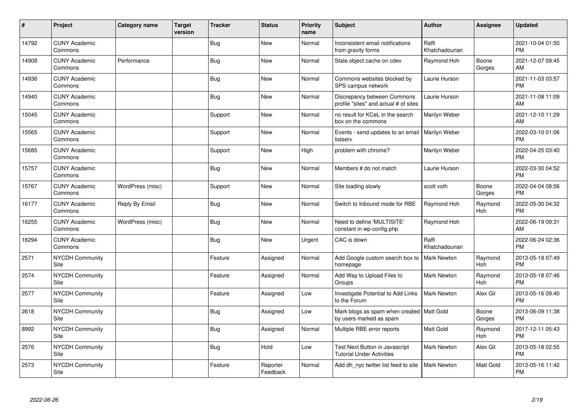| #     | Project                         | <b>Category name</b> | <b>Target</b><br>version | <b>Tracker</b> | <b>Status</b>        | <b>Priority</b><br>name | <b>Subject</b>                                                         | <b>Author</b>           | <b>Assignee</b>       | <b>Updated</b>                |
|-------|---------------------------------|----------------------|--------------------------|----------------|----------------------|-------------------------|------------------------------------------------------------------------|-------------------------|-----------------------|-------------------------------|
| 14792 | <b>CUNY Academic</b><br>Commons |                      |                          | <b>Bug</b>     | <b>New</b>           | Normal                  | Inconsistent email notifications<br>from gravity forms                 | Raffi<br>Khatchadourian |                       | 2021-10-04 01:50<br><b>PM</b> |
| 14908 | <b>CUNY Academic</b><br>Commons | Performance          |                          | Bug            | New                  | Normal                  | Stale object cache on cdev                                             | Raymond Hoh             | Boone<br>Gorges       | 2021-12-07 09:45<br>AM        |
| 14936 | <b>CUNY Academic</b><br>Commons |                      |                          | <b>Bug</b>     | <b>New</b>           | Normal                  | Commons websites blocked by<br>SPS campus network                      | Laurie Hurson           |                       | 2021-11-03 03:57<br><b>PM</b> |
| 14940 | <b>CUNY Academic</b><br>Commons |                      |                          | <b>Bug</b>     | <b>New</b>           | Normal                  | Discrepancy between Commons<br>profile "sites" and actual # of sites   | Laurie Hurson           |                       | 2021-11-08 11:09<br>AM        |
| 15045 | <b>CUNY Academic</b><br>Commons |                      |                          | Support        | <b>New</b>           | Normal                  | no result for KCeL in the search<br>box on the commons                 | Marilyn Weber           |                       | 2021-12-10 11:29<br>AM        |
| 15565 | <b>CUNY Academic</b><br>Commons |                      |                          | Support        | <b>New</b>           | Normal                  | Events - send updates to an email<br>listserv                          | Marilyn Weber           |                       | 2022-03-10 01:06<br><b>PM</b> |
| 15685 | <b>CUNY Academic</b><br>Commons |                      |                          | Support        | <b>New</b>           | High                    | problem with chrome?                                                   | Marilyn Weber           |                       | 2022-04-25 03:40<br><b>PM</b> |
| 15757 | <b>CUNY Academic</b><br>Commons |                      |                          | <b>Bug</b>     | <b>New</b>           | Normal                  | Members # do not match                                                 | Laurie Hurson           |                       | 2022-03-30 04:52<br><b>PM</b> |
| 15767 | <b>CUNY Academic</b><br>Commons | WordPress (misc)     |                          | Support        | <b>New</b>           | Normal                  | Site loading slowly                                                    | scott voth              | Boone<br>Gorges       | 2022-04-04 08:56<br><b>PM</b> |
| 16177 | <b>CUNY Academic</b><br>Commons | Reply By Email       |                          | <b>Bug</b>     | <b>New</b>           | Normal                  | Switch to Inbound mode for RBE                                         | Raymond Hoh             | Raymond<br>Hoh        | 2022-05-30 04:32<br><b>PM</b> |
| 16255 | <b>CUNY Academic</b><br>Commons | WordPress (misc)     |                          | <b>Bug</b>     | <b>New</b>           | Normal                  | Need to define 'MULTISITE'<br>constant in wp-config.php                | Raymond Hoh             |                       | 2022-06-19 09:31<br>AM        |
| 16294 | <b>CUNY Academic</b><br>Commons |                      |                          | <b>Bug</b>     | <b>New</b>           | Urgent                  | CAC is down                                                            | Raffi<br>Khatchadourian |                       | 2022-06-24 02:36<br><b>PM</b> |
| 2571  | <b>NYCDH Community</b><br>Site  |                      |                          | Feature        | Assigned             | Normal                  | Add Google custom search box to<br>homepage                            | <b>Mark Newton</b>      | Raymond<br>Hoh        | 2013-05-18 07:49<br><b>PM</b> |
| 2574  | <b>NYCDH Community</b><br>Site  |                      |                          | Feature        | Assigned             | Normal                  | Add Way to Upload Files to<br>Groups                                   | <b>Mark Newton</b>      | Raymond<br>Hoh        | 2013-05-18 07:46<br><b>PM</b> |
| 2577  | <b>NYCDH Community</b><br>Site  |                      |                          | Feature        | Assigned             | Low                     | Investigate Potential to Add Links<br>to the Forum                     | <b>Mark Newton</b>      | Alex Gil              | 2013-05-16 09:40<br><b>PM</b> |
| 2618  | NYCDH Community<br>Site         |                      |                          | <b>Bug</b>     | Assigned             | Low                     | Mark blogs as spam when created   Matt Gold<br>by users marked as spam |                         | Boone<br>Gorges       | 2013-06-09 11:38<br><b>PM</b> |
| 8992  | <b>NYCDH Community</b><br>Site  |                      |                          | Bug            | Assigned             | Normal                  | Multiple RBE error reports                                             | <b>Matt Gold</b>        | Raymond<br><b>Hoh</b> | 2017-12-11 05:43<br><b>PM</b> |
| 2576  | <b>NYCDH Community</b><br>Site  |                      |                          | <b>Bug</b>     | Hold                 | Low                     | Test Next Button in Javascript<br><b>Tutorial Under Activities</b>     | <b>Mark Newton</b>      | Alex Gil              | 2013-05-18 02:55<br><b>PM</b> |
| 2573  | NYCDH Community<br>Site         |                      |                          | Feature        | Reporter<br>Feedback | Normal                  | Add dh_nyc twitter list feed to site                                   | Mark Newton             | Matt Gold             | 2013-05-16 11:42<br>PM        |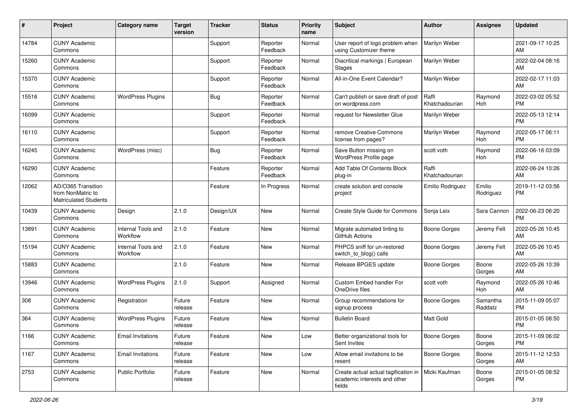| #     | Project                                                                 | <b>Category name</b>           | Target<br>version | Tracker    | <b>Status</b>        | <b>Priority</b><br>name | <b>Subject</b>                                                                                 | <b>Author</b>           | Assignee              | <b>Updated</b>                |
|-------|-------------------------------------------------------------------------|--------------------------------|-------------------|------------|----------------------|-------------------------|------------------------------------------------------------------------------------------------|-------------------------|-----------------------|-------------------------------|
| 14784 | <b>CUNY Academic</b><br>Commons                                         |                                |                   | Support    | Reporter<br>Feedback | Normal                  | User report of logo problem when<br>using Customizer theme                                     | Marilyn Weber           |                       | 2021-09-17 10:25<br>AM        |
| 15260 | <b>CUNY Academic</b><br>Commons                                         |                                |                   | Support    | Reporter<br>Feedback | Normal                  | Diacritical markings   European<br><b>Stages</b>                                               | Marilyn Weber           |                       | 2022-02-04 08:16<br>AM        |
| 15370 | <b>CUNY Academic</b><br>Commons                                         |                                |                   | Support    | Reporter<br>Feedback | Normal                  | All-in-One Event Calendar?                                                                     | Marilyn Weber           |                       | 2022-02-17 11:03<br>AM        |
| 15516 | <b>CUNY Academic</b><br>Commons                                         | <b>WordPress Plugins</b>       |                   | Bug        | Reporter<br>Feedback | Normal                  | Can't publish or save draft of post<br>on wordpress.com                                        | Raffi<br>Khatchadourian | Raymond<br>Hoh        | 2022-03-02 05:52<br><b>PM</b> |
| 16099 | <b>CUNY Academic</b><br>Commons                                         |                                |                   | Support    | Reporter<br>Feedback | Normal                  | request for Newsletter Glue                                                                    | Marilyn Weber           |                       | 2022-05-13 12:14<br><b>PM</b> |
| 16110 | <b>CUNY Academic</b><br>Commons                                         |                                |                   | Support    | Reporter<br>Feedback | Normal                  | remove Creative Commons<br>license from pages?                                                 | Marilyn Weber           | Raymond<br>Hoh        | 2022-05-17 06:11<br><b>PM</b> |
| 16245 | <b>CUNY Academic</b><br>Commons                                         | WordPress (misc)               |                   | <b>Bug</b> | Reporter<br>Feedback | Normal                  | Save Button missing on<br>WordPress Profile page                                               | scott voth              | Raymond<br>Hoh        | 2022-06-16 03:09<br><b>PM</b> |
| 16290 | <b>CUNY Academic</b><br>Commons                                         |                                |                   | Feature    | Reporter<br>Feedback | Normal                  | Add Table Of Contents Block<br>plug-in                                                         | Raffi<br>Khatchadourian |                       | 2022-06-24 10:26<br>AM        |
| 12062 | AD/O365 Transition<br>from NonMatric to<br><b>Matriculated Students</b> |                                |                   | Feature    | In Progress          | Normal                  | create solution and console<br>project                                                         | Emilio Rodriguez        | Emilio<br>Rodriguez   | 2019-11-12 03:56<br><b>PM</b> |
| 10439 | <b>CUNY Academic</b><br>Commons                                         | Design                         | 2.1.0             | Design/UX  | New                  | Normal                  | Create Style Guide for Commons                                                                 | Sonja Leix              | Sara Cannon           | 2022-06-23 06:20<br><b>PM</b> |
| 13891 | <b>CUNY Academic</b><br>Commons                                         | Internal Tools and<br>Workflow | 2.1.0             | Feature    | New                  | Normal                  | Migrate automated linting to<br>GitHub Actions                                                 | <b>Boone Gorges</b>     | Jeremy Felt           | 2022-05-26 10:45<br>AM        |
| 15194 | <b>CUNY Academic</b><br>Commons                                         | Internal Tools and<br>Workflow | 2.1.0             | Feature    | New                  | Normal                  | PHPCS sniff for un-restored<br>switch_to_blog() calls                                          | <b>Boone Gorges</b>     | Jeremy Felt           | 2022-05-26 10:45<br>AM        |
| 15883 | <b>CUNY Academic</b><br>Commons                                         |                                | 2.1.0             | Feature    | <b>New</b>           | Normal                  | Release BPGES update                                                                           | Boone Gorges            | Boone<br>Gorges       | 2022-05-26 10:39<br>AM        |
| 13946 | <b>CUNY Academic</b><br>Commons                                         | <b>WordPress Plugins</b>       | 2.1.0             | Support    | Assigned             | Normal                  | Custom Embed handler For<br>OneDrive files                                                     | scott voth              | Raymond<br><b>Hoh</b> | 2022-05-26 10:46<br>AM        |
| 308   | <b>CUNY Academic</b><br>Commons                                         | Registration                   | Future<br>release | Feature    | <b>New</b>           | Normal                  | Group recommendations for<br>signup process                                                    | <b>Boone Gorges</b>     | Samantha<br>Raddatz   | 2015-11-09 05:07<br><b>PM</b> |
| 364   | <b>CUNY Academic</b><br>Commons                                         | <b>WordPress Plugins</b>       | Future<br>release | Feature    | New                  | Normal                  | <b>Bulletin Board</b>                                                                          | Matt Gold               |                       | 2015-01-05 08:50<br><b>PM</b> |
| 1166  | <b>CUNY Academic</b><br>Commons                                         | <b>Email Invitations</b>       | Future<br>release | Feature    | New                  | Low                     | Better organizational tools for<br>Sent Invites                                                | <b>Boone Gorges</b>     | Boone<br>Gorges       | 2015-11-09 06:02<br>PM        |
| 1167  | <b>CUNY Academic</b><br>Commons                                         | <b>Email Invitations</b>       | Future<br>release | Feature    | New                  | Low                     | Allow email invitations to be<br>resent                                                        | Boone Gorges            | Boone<br>Gorges       | 2015-11-12 12:53<br>AM        |
| 2753  | <b>CUNY Academic</b><br>Commons                                         | Public Portfolio               | Future<br>release | Feature    | New                  | Normal                  | Create actual actual tagification in   Micki Kaufman<br>academic interests and other<br>fields |                         | Boone<br>Gorges       | 2015-01-05 08:52<br>PM        |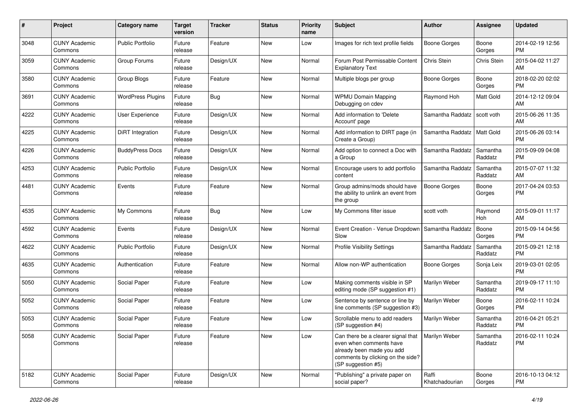| #    | Project                         | <b>Category name</b>     | <b>Target</b><br>version | <b>Tracker</b> | <b>Status</b> | <b>Priority</b><br>name | Subject                                                                                                                                               | Author                  | <b>Assignee</b>     | <b>Updated</b>                |
|------|---------------------------------|--------------------------|--------------------------|----------------|---------------|-------------------------|-------------------------------------------------------------------------------------------------------------------------------------------------------|-------------------------|---------------------|-------------------------------|
| 3048 | <b>CUNY Academic</b><br>Commons | <b>Public Portfolio</b>  | Future<br>release        | Feature        | New           | Low                     | Images for rich text profile fields                                                                                                                   | <b>Boone Gorges</b>     | Boone<br>Gorges     | 2014-02-19 12:56<br>PM        |
| 3059 | <b>CUNY Academic</b><br>Commons | Group Forums             | Future<br>release        | Design/UX      | New           | Normal                  | Forum Post Permissable Content<br><b>Explanatory Text</b>                                                                                             | Chris Stein             | Chris Stein         | 2015-04-02 11:27<br>AM        |
| 3580 | <b>CUNY Academic</b><br>Commons | Group Blogs              | Future<br>release        | Feature        | New           | Normal                  | Multiple blogs per group                                                                                                                              | <b>Boone Gorges</b>     | Boone<br>Gorges     | 2018-02-20 02:02<br><b>PM</b> |
| 3691 | <b>CUNY Academic</b><br>Commons | <b>WordPress Plugins</b> | Future<br>release        | Bug            | New           | Normal                  | <b>WPMU Domain Mapping</b><br>Debugging on cdev                                                                                                       | Raymond Hoh             | Matt Gold           | 2014-12-12 09:04<br>AM        |
| 4222 | <b>CUNY Academic</b><br>Commons | <b>User Experience</b>   | Future<br>release        | Design/UX      | New           | Normal                  | Add information to 'Delete<br>Account' page                                                                                                           | Samantha Raddatz        | scott voth          | 2015-06-26 11:35<br>AM        |
| 4225 | <b>CUNY Academic</b><br>Commons | DiRT Integration         | Future<br>release        | Design/UX      | New           | Normal                  | Add information to DIRT page (in<br>Create a Group)                                                                                                   | Samantha Raddatz        | Matt Gold           | 2015-06-26 03:14<br><b>PM</b> |
| 4226 | <b>CUNY Academic</b><br>Commons | <b>BuddyPress Docs</b>   | Future<br>release        | Design/UX      | New           | Normal                  | Add option to connect a Doc with<br>a Group                                                                                                           | Samantha Raddatz        | Samantha<br>Raddatz | 2015-09-09 04:08<br><b>PM</b> |
| 4253 | <b>CUNY Academic</b><br>Commons | <b>Public Portfolio</b>  | Future<br>release        | Design/UX      | <b>New</b>    | Normal                  | Encourage users to add portfolio<br>content                                                                                                           | Samantha Raddatz        | Samantha<br>Raddatz | 2015-07-07 11:32<br>AM        |
| 4481 | <b>CUNY Academic</b><br>Commons | Events                   | Future<br>release        | Feature        | New           | Normal                  | Group admins/mods should have<br>the ability to unlink an event from<br>the group                                                                     | <b>Boone Gorges</b>     | Boone<br>Gorges     | 2017-04-24 03:53<br><b>PM</b> |
| 4535 | <b>CUNY Academic</b><br>Commons | My Commons               | Future<br>release        | <b>Bug</b>     | <b>New</b>    | Low                     | My Commons filter issue                                                                                                                               | scott voth              | Raymond<br>Hoh      | 2015-09-01 11:17<br>AM        |
| 4592 | <b>CUNY Academic</b><br>Commons | Events                   | Future<br>release        | Design/UX      | New           | Normal                  | Event Creation - Venue Dropdown   Samantha Raddatz<br>Slow                                                                                            |                         | Boone<br>Gorges     | 2015-09-14 04:56<br><b>PM</b> |
| 4622 | <b>CUNY Academic</b><br>Commons | <b>Public Portfolio</b>  | Future<br>release        | Design/UX      | <b>New</b>    | Normal                  | <b>Profile Visibility Settings</b>                                                                                                                    | Samantha Raddatz        | Samantha<br>Raddatz | 2015-09-21 12:18<br><b>PM</b> |
| 4635 | <b>CUNY Academic</b><br>Commons | Authentication           | Future<br>release        | Feature        | <b>New</b>    | Normal                  | Allow non-WP authentication                                                                                                                           | <b>Boone Gorges</b>     | Sonja Leix          | 2019-03-01 02:05<br><b>PM</b> |
| 5050 | <b>CUNY Academic</b><br>Commons | Social Paper             | Future<br>release        | Feature        | New           | Low                     | Making comments visible in SP<br>editing mode (SP suggestion #1)                                                                                      | Marilyn Weber           | Samantha<br>Raddatz | 2019-09-17 11:10<br><b>PM</b> |
| 5052 | <b>CUNY Academic</b><br>Commons | Social Paper             | Future<br>release        | Feature        | New           | Low                     | Sentence by sentence or line by<br>line comments (SP suggestion #3)                                                                                   | Marilyn Weber           | Boone<br>Gorges     | 2016-02-11 10:24<br><b>PM</b> |
| 5053 | <b>CUNY Academic</b><br>Commons | Social Paper             | Future<br>release        | Feature        | New           | Low                     | Scrollable menu to add readers<br>(SP suggestion #4)                                                                                                  | Marilyn Weber           | Samantha<br>Raddatz | 2016-04-21 05:21<br>PM        |
| 5058 | <b>CUNY Academic</b><br>Commons | Social Paper             | Future<br>release        | Feature        | New           | Low                     | Can there be a clearer signal that<br>even when comments have<br>already been made you add<br>comments by clicking on the side?<br>(SP suggestion #5) | Marilyn Weber           | Samantha<br>Raddatz | 2016-02-11 10:24<br><b>PM</b> |
| 5182 | <b>CUNY Academic</b><br>Commons | Social Paper             | Future<br>release        | Design/UX      | New           | Normal                  | "Publishing" a private paper on<br>social paper?                                                                                                      | Raffi<br>Khatchadourian | Boone<br>Gorges     | 2016-10-13 04:12<br>PM        |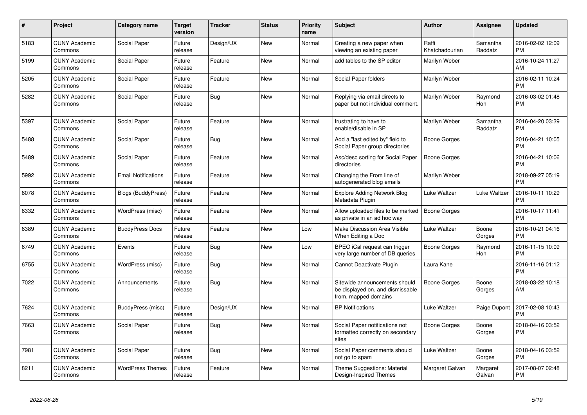| #    | <b>Project</b>                  | <b>Category name</b>       | <b>Target</b><br>version | <b>Tracker</b> | <b>Status</b> | <b>Priority</b><br>name | Subject                                                                                   | <b>Author</b>           | Assignee            | <b>Updated</b>                |
|------|---------------------------------|----------------------------|--------------------------|----------------|---------------|-------------------------|-------------------------------------------------------------------------------------------|-------------------------|---------------------|-------------------------------|
| 5183 | <b>CUNY Academic</b><br>Commons | Social Paper               | Future<br>release        | Design/UX      | <b>New</b>    | Normal                  | Creating a new paper when<br>viewing an existing paper                                    | Raffi<br>Khatchadourian | Samantha<br>Raddatz | 2016-02-02 12:09<br><b>PM</b> |
| 5199 | <b>CUNY Academic</b><br>Commons | Social Paper               | Future<br>release        | Feature        | <b>New</b>    | Normal                  | add tables to the SP editor                                                               | Marilyn Weber           |                     | 2016-10-24 11:27<br>AM        |
| 5205 | <b>CUNY Academic</b><br>Commons | Social Paper               | Future<br>release        | Feature        | <b>New</b>    | Normal                  | Social Paper folders                                                                      | Marilyn Weber           |                     | 2016-02-11 10:24<br><b>PM</b> |
| 5282 | <b>CUNY Academic</b><br>Commons | Social Paper               | Future<br>release        | <b>Bug</b>     | <b>New</b>    | Normal                  | Replying via email directs to<br>paper but not individual comment.                        | Marilyn Weber           | Raymond<br>Hoh      | 2016-03-02 01:48<br><b>PM</b> |
| 5397 | <b>CUNY Academic</b><br>Commons | Social Paper               | Future<br>release        | Feature        | New           | Normal                  | frustrating to have to<br>enable/disable in SP                                            | Marilyn Weber           | Samantha<br>Raddatz | 2016-04-20 03:39<br><b>PM</b> |
| 5488 | <b>CUNY Academic</b><br>Commons | Social Paper               | Future<br>release        | Bug            | New           | Normal                  | Add a "last edited by" field to<br>Social Paper group directories                         | Boone Gorges            |                     | 2016-04-21 10:05<br><b>PM</b> |
| 5489 | <b>CUNY Academic</b><br>Commons | Social Paper               | Future<br>release        | Feature        | <b>New</b>    | Normal                  | Asc/desc sorting for Social Paper<br>directories                                          | <b>Boone Gorges</b>     |                     | 2016-04-21 10:06<br><b>PM</b> |
| 5992 | <b>CUNY Academic</b><br>Commons | <b>Email Notifications</b> | Future<br>release        | Feature        | New           | Normal                  | Changing the From line of<br>autogenerated blog emails                                    | Marilyn Weber           |                     | 2018-09-27 05:19<br><b>PM</b> |
| 6078 | <b>CUNY Academic</b><br>Commons | <b>Blogs (BuddyPress)</b>  | Future<br>release        | Feature        | <b>New</b>    | Normal                  | <b>Explore Adding Network Blog</b><br>Metadata Plugin                                     | Luke Waltzer            | Luke Waltzer        | 2016-10-11 10:29<br><b>PM</b> |
| 6332 | <b>CUNY Academic</b><br>Commons | WordPress (misc)           | Future<br>release        | Feature        | New           | Normal                  | Allow uploaded files to be marked<br>as private in an ad hoc way                          | Boone Gorges            |                     | 2016-10-17 11:41<br><b>PM</b> |
| 6389 | <b>CUNY Academic</b><br>Commons | <b>BuddyPress Docs</b>     | Future<br>release        | Feature        | <b>New</b>    | Low                     | Make Discussion Area Visible<br>When Editing a Doc                                        | Luke Waltzer            | Boone<br>Gorges     | 2016-10-21 04:16<br><b>PM</b> |
| 6749 | <b>CUNY Academic</b><br>Commons | Events                     | Future<br>release        | Bug            | <b>New</b>    | Low                     | BPEO iCal request can trigger<br>very large number of DB queries                          | Boone Gorges            | Raymond<br>Hoh      | 2016-11-15 10:09<br><b>PM</b> |
| 6755 | <b>CUNY Academic</b><br>Commons | WordPress (misc)           | Future<br>release        | Bug            | <b>New</b>    | Normal                  | Cannot Deactivate Plugin                                                                  | Laura Kane              |                     | 2016-11-16 01:12<br><b>PM</b> |
| 7022 | <b>CUNY Academic</b><br>Commons | Announcements              | Future<br>release        | <b>Bug</b>     | <b>New</b>    | Normal                  | Sitewide announcements should<br>be displayed on, and dismissable<br>from, mapped domains | <b>Boone Gorges</b>     | Boone<br>Gorges     | 2018-03-22 10:18<br>AM        |
| 7624 | <b>CUNY Academic</b><br>Commons | BuddyPress (misc)          | Future<br>release        | Design/UX      | <b>New</b>    | Normal                  | <b>BP Notifications</b>                                                                   | Luke Waltzer            | Paige Dupont        | 2017-02-08 10:43<br><b>PM</b> |
| 7663 | <b>CUNY Academic</b><br>Commons | Social Paper               | Future<br>release        | <b>Bug</b>     | <b>New</b>    | Normal                  | Social Paper notifications not<br>formatted correctly on secondary<br>sites               | Boone Gorges            | Boone<br>Gorges     | 2018-04-16 03:52<br><b>PM</b> |
| 7981 | <b>CUNY Academic</b><br>Commons | Social Paper               | Future<br>release        | <b>Bug</b>     | <b>New</b>    | Normal                  | Social Paper comments should<br>not go to spam                                            | Luke Waltzer            | Boone<br>Gorges     | 2018-04-16 03:52<br><b>PM</b> |
| 8211 | <b>CUNY Academic</b><br>Commons | <b>WordPress Themes</b>    | Future<br>release        | Feature        | <b>New</b>    | Normal                  | Theme Suggestions: Material<br>Design-Inspired Themes                                     | Margaret Galvan         | Margaret<br>Galvan  | 2017-08-07 02:48<br><b>PM</b> |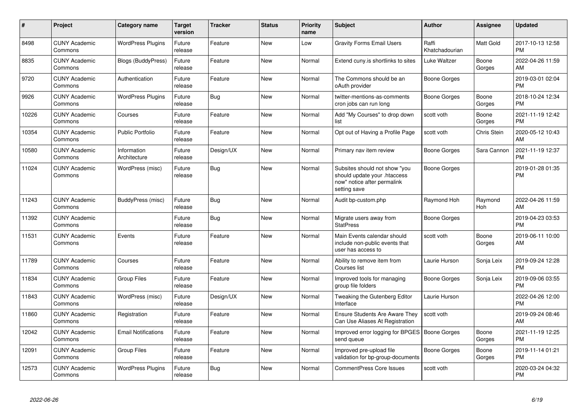| #     | Project                         | <b>Category name</b>        | Target<br>version | <b>Tracker</b> | <b>Status</b> | <b>Priority</b><br>name | <b>Subject</b>                                                                                               | <b>Author</b>           | <b>Assignee</b>  | <b>Updated</b>                |
|-------|---------------------------------|-----------------------------|-------------------|----------------|---------------|-------------------------|--------------------------------------------------------------------------------------------------------------|-------------------------|------------------|-------------------------------|
| 8498  | <b>CUNY Academic</b><br>Commons | <b>WordPress Plugins</b>    | Future<br>release | Feature        | <b>New</b>    | Low                     | <b>Gravity Forms Email Users</b>                                                                             | Raffi<br>Khatchadourian | <b>Matt Gold</b> | 2017-10-13 12:58<br><b>PM</b> |
| 8835  | <b>CUNY Academic</b><br>Commons | <b>Blogs (BuddyPress)</b>   | Future<br>release | Feature        | <b>New</b>    | Normal                  | Extend cuny is shortlinks to sites                                                                           | Luke Waltzer            | Boone<br>Gorges  | 2022-04-26 11:59<br>AM        |
| 9720  | <b>CUNY Academic</b><br>Commons | Authentication              | Future<br>release | Feature        | New           | Normal                  | The Commons should be an<br>oAuth provider                                                                   | Boone Gorges            |                  | 2019-03-01 02:04<br><b>PM</b> |
| 9926  | <b>CUNY Academic</b><br>Commons | <b>WordPress Plugins</b>    | Future<br>release | <b>Bug</b>     | <b>New</b>    | Normal                  | twitter-mentions-as-comments<br>cron jobs can run long                                                       | Boone Gorges            | Boone<br>Gorges  | 2018-10-24 12:34<br><b>PM</b> |
| 10226 | <b>CUNY Academic</b><br>Commons | Courses                     | Future<br>release | Feature        | <b>New</b>    | Normal                  | Add "My Courses" to drop down<br>list                                                                        | scott voth              | Boone<br>Gorges  | 2021-11-19 12:42<br><b>PM</b> |
| 10354 | <b>CUNY Academic</b><br>Commons | <b>Public Portfolio</b>     | Future<br>release | Feature        | <b>New</b>    | Normal                  | Opt out of Having a Profile Page                                                                             | scott voth              | Chris Stein      | 2020-05-12 10:43<br>AM        |
| 10580 | <b>CUNY Academic</b><br>Commons | Information<br>Architecture | Future<br>release | Design/UX      | <b>New</b>    | Normal                  | Primary nav item review                                                                                      | Boone Gorges            | Sara Cannon      | 2021-11-19 12:37<br><b>PM</b> |
| 11024 | <b>CUNY Academic</b><br>Commons | WordPress (misc)            | Future<br>release | Bug            | <b>New</b>    | Normal                  | Subsites should not show "you<br>should update your .htaccess<br>now" notice after permalink<br>setting save | Boone Gorges            |                  | 2019-01-28 01:35<br><b>PM</b> |
| 11243 | <b>CUNY Academic</b><br>Commons | BuddyPress (misc)           | Future<br>release | Bug            | <b>New</b>    | Normal                  | Audit bp-custom.php                                                                                          | Raymond Hoh             | Raymond<br>Hoh   | 2022-04-26 11:59<br>AM        |
| 11392 | <b>CUNY Academic</b><br>Commons |                             | Future<br>release | <b>Bug</b>     | <b>New</b>    | Normal                  | Migrate users away from<br><b>StatPress</b>                                                                  | Boone Gorges            |                  | 2019-04-23 03:53<br><b>PM</b> |
| 11531 | <b>CUNY Academic</b><br>Commons | Events                      | Future<br>release | Feature        | <b>New</b>    | Normal                  | Main Events calendar should<br>include non-public events that<br>user has access to                          | scott voth              | Boone<br>Gorges  | 2019-06-11 10:00<br>AM        |
| 11789 | <b>CUNY Academic</b><br>Commons | Courses                     | Future<br>release | Feature        | <b>New</b>    | Normal                  | Ability to remove item from<br>Courses list                                                                  | Laurie Hurson           | Sonja Leix       | 2019-09-24 12:28<br><b>PM</b> |
| 11834 | <b>CUNY Academic</b><br>Commons | Group Files                 | Future<br>release | Feature        | New           | Normal                  | Improved tools for managing<br>group file folders                                                            | Boone Gorges            | Sonja Leix       | 2019-09-06 03:55<br><b>PM</b> |
| 11843 | <b>CUNY Academic</b><br>Commons | WordPress (misc)            | Future<br>release | Design/UX      | <b>New</b>    | Normal                  | Tweaking the Gutenberg Editor<br>Interface                                                                   | Laurie Hurson           |                  | 2022-04-26 12:00<br><b>PM</b> |
| 11860 | <b>CUNY Academic</b><br>Commons | Registration                | Future<br>release | Feature        | <b>New</b>    | Normal                  | <b>Ensure Students Are Aware They</b><br>Can Use Aliases At Registration                                     | scott voth              |                  | 2019-09-24 08:46<br>AM        |
| 12042 | <b>CUNY Academic</b><br>Commons | <b>Email Notifications</b>  | Future<br>release | Feature        | <b>New</b>    | Normal                  | Improved error logging for BPGES   Boone Gorges<br>send queue                                                |                         | Boone<br>Gorges  | 2021-11-19 12:25<br><b>PM</b> |
| 12091 | <b>CUNY Academic</b><br>Commons | <b>Group Files</b>          | Future<br>release | Feature        | <b>New</b>    | Normal                  | Improved pre-upload file<br>validation for bp-group-documents                                                | Boone Gorges            | Boone<br>Gorges  | 2019-11-14 01:21<br><b>PM</b> |
| 12573 | <b>CUNY Academic</b><br>Commons | <b>WordPress Plugins</b>    | Future<br>release | <b>Bug</b>     | <b>New</b>    | Normal                  | <b>CommentPress Core Issues</b>                                                                              | scott voth              |                  | 2020-03-24 04:32<br>PM        |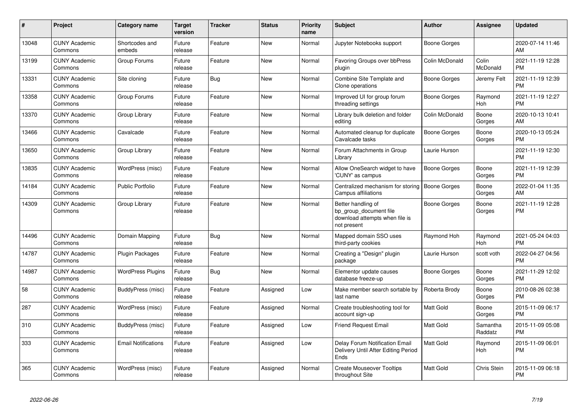| $\pmb{\#}$ | Project                         | Category name              | <b>Target</b><br>version | <b>Tracker</b> | <b>Status</b> | <b>Priority</b><br>name | <b>Subject</b>                                                                                | Author              | <b>Assignee</b>     | <b>Updated</b>                |
|------------|---------------------------------|----------------------------|--------------------------|----------------|---------------|-------------------------|-----------------------------------------------------------------------------------------------|---------------------|---------------------|-------------------------------|
| 13048      | <b>CUNY Academic</b><br>Commons | Shortcodes and<br>embeds   | Future<br>release        | Feature        | <b>New</b>    | Normal                  | Jupyter Notebooks support                                                                     | Boone Gorges        |                     | 2020-07-14 11:46<br>AM        |
| 13199      | <b>CUNY Academic</b><br>Commons | Group Forums               | Future<br>release        | Feature        | <b>New</b>    | Normal                  | Favoring Groups over bbPress<br>plugin                                                        | Colin McDonald      | Colin<br>McDonald   | 2021-11-19 12:28<br><b>PM</b> |
| 13331      | <b>CUNY Academic</b><br>Commons | Site cloning               | Future<br>release        | Bug            | <b>New</b>    | Normal                  | Combine Site Template and<br>Clone operations                                                 | Boone Gorges        | Jeremy Felt         | 2021-11-19 12:39<br><b>PM</b> |
| 13358      | <b>CUNY Academic</b><br>Commons | Group Forums               | Future<br>release        | Feature        | <b>New</b>    | Normal                  | Improved UI for group forum<br>threading settings                                             | Boone Gorges        | Raymond<br>Hoh      | 2021-11-19 12:27<br><b>PM</b> |
| 13370      | <b>CUNY Academic</b><br>Commons | Group Library              | Future<br>release        | Feature        | <b>New</b>    | Normal                  | Library bulk deletion and folder<br>editing                                                   | Colin McDonald      | Boone<br>Gorges     | 2020-10-13 10:41<br>AM        |
| 13466      | <b>CUNY Academic</b><br>Commons | Cavalcade                  | Future<br>release        | Feature        | <b>New</b>    | Normal                  | Automated cleanup for duplicate<br>Cavalcade tasks                                            | <b>Boone Gorges</b> | Boone<br>Gorges     | 2020-10-13 05:24<br><b>PM</b> |
| 13650      | <b>CUNY Academic</b><br>Commons | Group Library              | Future<br>release        | Feature        | <b>New</b>    | Normal                  | Forum Attachments in Group<br>Library                                                         | Laurie Hurson       |                     | 2021-11-19 12:30<br><b>PM</b> |
| 13835      | <b>CUNY Academic</b><br>Commons | WordPress (misc)           | Future<br>release        | Feature        | <b>New</b>    | Normal                  | Allow OneSearch widget to have<br>'CUNY' as campus                                            | <b>Boone Gorges</b> | Boone<br>Gorges     | 2021-11-19 12:39<br><b>PM</b> |
| 14184      | <b>CUNY Academic</b><br>Commons | <b>Public Portfolio</b>    | Future<br>release        | Feature        | <b>New</b>    | Normal                  | Centralized mechanism for storing<br>Campus affiliations                                      | Boone Gorges        | Boone<br>Gorges     | 2022-01-04 11:35<br>AM        |
| 14309      | <b>CUNY Academic</b><br>Commons | Group Library              | Future<br>release        | Feature        | <b>New</b>    | Normal                  | Better handling of<br>bp group document file<br>download attempts when file is<br>not present | Boone Gorges        | Boone<br>Gorges     | 2021-11-19 12:28<br><b>PM</b> |
| 14496      | <b>CUNY Academic</b><br>Commons | Domain Mapping             | Future<br>release        | <b>Bug</b>     | <b>New</b>    | Normal                  | Mapped domain SSO uses<br>third-party cookies                                                 | Raymond Hoh         | Raymond<br>Hoh      | 2021-05-24 04:03<br><b>PM</b> |
| 14787      | <b>CUNY Academic</b><br>Commons | Plugin Packages            | Future<br>release        | Feature        | <b>New</b>    | Normal                  | Creating a "Design" plugin<br>package                                                         | Laurie Hurson       | scott voth          | 2022-04-27 04:56<br><b>PM</b> |
| 14987      | <b>CUNY Academic</b><br>Commons | <b>WordPress Plugins</b>   | Future<br>release        | Bug            | New           | Normal                  | Elementor update causes<br>database freeze-up                                                 | Boone Gorges        | Boone<br>Gorges     | 2021-11-29 12:02<br><b>PM</b> |
| 58         | <b>CUNY Academic</b><br>Commons | BuddyPress (misc)          | Future<br>release        | Feature        | Assigned      | Low                     | Make member search sortable by<br>last name                                                   | Roberta Brody       | Boone<br>Gorges     | 2010-08-26 02:38<br><b>PM</b> |
| 287        | <b>CUNY Academic</b><br>Commons | WordPress (misc)           | Future<br>release        | Feature        | Assigned      | Normal                  | Create troubleshooting tool for<br>account sign-up                                            | <b>Matt Gold</b>    | Boone<br>Gorges     | 2015-11-09 06:17<br><b>PM</b> |
| 310        | <b>CUNY Academic</b><br>Commons | BuddyPress (misc)          | Future<br>release        | Feature        | Assigned      | Low                     | <b>Friend Request Email</b>                                                                   | <b>Matt Gold</b>    | Samantha<br>Raddatz | 2015-11-09 05:08<br><b>PM</b> |
| 333        | <b>CUNY Academic</b><br>Commons | <b>Email Notifications</b> | Future<br>release        | Feature        | Assigned      | Low                     | Delay Forum Notification Email<br>Delivery Until After Editing Period<br>Ends                 | Matt Gold           | Raymond<br>Hoh      | 2015-11-09 06:01<br><b>PM</b> |
| 365        | <b>CUNY Academic</b><br>Commons | WordPress (misc)           | Future<br>release        | Feature        | Assigned      | Normal                  | <b>Create Mouseover Tooltips</b><br>throughout Site                                           | <b>Matt Gold</b>    | Chris Stein         | 2015-11-09 06:18<br>PM        |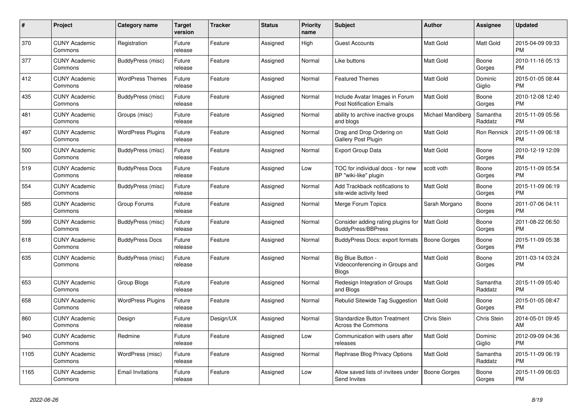| $\#$ | Project                         | Category name            | <b>Target</b><br>version | <b>Tracker</b> | <b>Status</b> | <b>Priority</b><br>name | <b>Subject</b>                                                       | <b>Author</b>       | <b>Assignee</b>     | <b>Updated</b>                |
|------|---------------------------------|--------------------------|--------------------------|----------------|---------------|-------------------------|----------------------------------------------------------------------|---------------------|---------------------|-------------------------------|
| 370  | <b>CUNY Academic</b><br>Commons | Registration             | Future<br>release        | Feature        | Assigned      | High                    | <b>Guest Accounts</b>                                                | <b>Matt Gold</b>    | Matt Gold           | 2015-04-09 09:33<br><b>PM</b> |
| 377  | <b>CUNY Academic</b><br>Commons | BuddyPress (misc)        | Future<br>release        | Feature        | Assigned      | Normal                  | Like buttons                                                         | <b>Matt Gold</b>    | Boone<br>Gorges     | 2010-11-16 05:13<br><b>PM</b> |
| 412  | <b>CUNY Academic</b><br>Commons | <b>WordPress Themes</b>  | Future<br>release        | Feature        | Assigned      | Normal                  | <b>Featured Themes</b>                                               | Matt Gold           | Dominic<br>Giglio   | 2015-01-05 08:44<br><b>PM</b> |
| 435  | <b>CUNY Academic</b><br>Commons | BuddyPress (misc)        | Future<br>release        | Feature        | Assigned      | Normal                  | Include Avatar Images in Forum<br><b>Post Notification Emails</b>    | <b>Matt Gold</b>    | Boone<br>Gorges     | 2010-12-08 12:40<br><b>PM</b> |
| 481  | <b>CUNY Academic</b><br>Commons | Groups (misc)            | Future<br>release        | Feature        | Assigned      | Normal                  | ability to archive inactive groups<br>and blogs                      | Michael Mandiberg   | Samantha<br>Raddatz | 2015-11-09 05:56<br><b>PM</b> |
| 497  | <b>CUNY Academic</b><br>Commons | <b>WordPress Plugins</b> | Future<br>release        | Feature        | Assigned      | Normal                  | Drag and Drop Ordering on<br><b>Gallery Post Plugin</b>              | Matt Gold           | Ron Rennick         | 2015-11-09 06:18<br><b>PM</b> |
| 500  | <b>CUNY Academic</b><br>Commons | BuddyPress (misc)        | Future<br>release        | Feature        | Assigned      | Normal                  | <b>Export Group Data</b>                                             | <b>Matt Gold</b>    | Boone<br>Gorges     | 2010-12-19 12:09<br><b>PM</b> |
| 519  | <b>CUNY Academic</b><br>Commons | <b>BuddyPress Docs</b>   | Future<br>release        | Feature        | Assigned      | Low                     | TOC for individual docs - for new<br>BP "wiki-like" plugin           | scott voth          | Boone<br>Gorges     | 2015-11-09 05:54<br><b>PM</b> |
| 554  | <b>CUNY Academic</b><br>Commons | BuddyPress (misc)        | Future<br>release        | Feature        | Assigned      | Normal                  | Add Trackback notifications to<br>site-wide activity feed            | Matt Gold           | Boone<br>Gorges     | 2015-11-09 06:19<br><b>PM</b> |
| 585  | <b>CUNY Academic</b><br>Commons | Group Forums             | Future<br>release        | Feature        | Assigned      | Normal                  | Merge Forum Topics                                                   | Sarah Morgano       | Boone<br>Gorges     | 2011-07-06 04:11<br><b>PM</b> |
| 599  | <b>CUNY Academic</b><br>Commons | BuddyPress (misc)        | Future<br>release        | Feature        | Assigned      | Normal                  | Consider adding rating plugins for<br><b>BuddyPress/BBPress</b>      | <b>Matt Gold</b>    | Boone<br>Gorges     | 2011-08-22 06:50<br><b>PM</b> |
| 618  | <b>CUNY Academic</b><br>Commons | <b>BuddyPress Docs</b>   | Future<br>release        | Feature        | Assigned      | Normal                  | BuddyPress Docs: export formats                                      | <b>Boone Gorges</b> | Boone<br>Gorges     | 2015-11-09 05:38<br><b>PM</b> |
| 635  | <b>CUNY Academic</b><br>Commons | BuddyPress (misc)        | Future<br>release        | Feature        | Assigned      | Normal                  | Big Blue Button -<br>Videoconferencing in Groups and<br><b>Blogs</b> | <b>Matt Gold</b>    | Boone<br>Gorges     | 2011-03-14 03:24<br><b>PM</b> |
| 653  | <b>CUNY Academic</b><br>Commons | Group Blogs              | Future<br>release        | Feature        | Assigned      | Normal                  | Redesign Integration of Groups<br>and Blogs                          | Matt Gold           | Samantha<br>Raddatz | 2015-11-09 05:40<br><b>PM</b> |
| 658  | <b>CUNY Academic</b><br>Commons | <b>WordPress Plugins</b> | Future<br>release        | Feature        | Assigned      | Normal                  | Rebulid Sitewide Tag Suggestion                                      | <b>Matt Gold</b>    | Boone<br>Gorges     | 2015-01-05 08:47<br><b>PM</b> |
| 860  | <b>CUNY Academic</b><br>Commons | Design                   | Future<br>release        | Design/UX      | Assigned      | Normal                  | <b>Standardize Button Treatment</b><br>Across the Commons            | <b>Chris Stein</b>  | Chris Stein         | 2014-05-01 09:45<br>AM        |
| 940  | <b>CUNY Academic</b><br>Commons | Redmine                  | Future<br>release        | Feature        | Assigned      | Low                     | Communication with users after<br>releases                           | <b>Matt Gold</b>    | Dominic<br>Giglio   | 2012-09-09 04:36<br><b>PM</b> |
| 1105 | <b>CUNY Academic</b><br>Commons | WordPress (misc)         | Future<br>release        | Feature        | Assigned      | Normal                  | Rephrase Blog Privacy Options                                        | <b>Matt Gold</b>    | Samantha<br>Raddatz | 2015-11-09 06:19<br><b>PM</b> |
| 1165 | <b>CUNY Academic</b><br>Commons | <b>Email Invitations</b> | Future<br>release        | Feature        | Assigned      | Low                     | Allow saved lists of invitees under<br>Send Invites                  | Boone Gorges        | Boone<br>Gorges     | 2015-11-09 06:03<br><b>PM</b> |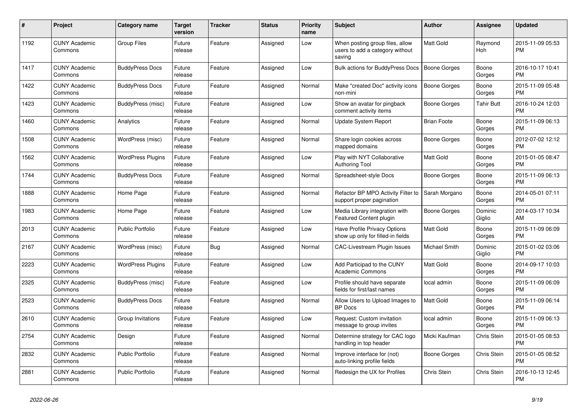| #    | <b>Project</b>                  | <b>Category name</b>     | Target<br>version | Tracker    | <b>Status</b> | <b>Priority</b><br>name | <b>Subject</b>                                                               | <b>Author</b>       | Assignee          | <b>Updated</b>                |
|------|---------------------------------|--------------------------|-------------------|------------|---------------|-------------------------|------------------------------------------------------------------------------|---------------------|-------------------|-------------------------------|
| 1192 | <b>CUNY Academic</b><br>Commons | <b>Group Files</b>       | Future<br>release | Feature    | Assigned      | Low                     | When posting group files, allow<br>users to add a category without<br>saving | <b>Matt Gold</b>    | Raymond<br>Hoh    | 2015-11-09 05:53<br><b>PM</b> |
| 1417 | <b>CUNY Academic</b><br>Commons | <b>BuddyPress Docs</b>   | Future<br>release | Feature    | Assigned      | Low                     | Bulk actions for BuddyPress Docs                                             | <b>Boone Gorges</b> | Boone<br>Gorges   | 2016-10-17 10:41<br><b>PM</b> |
| 1422 | <b>CUNY Academic</b><br>Commons | <b>BuddyPress Docs</b>   | Future<br>release | Feature    | Assigned      | Normal                  | Make "created Doc" activity icons<br>non-mini                                | <b>Boone Gorges</b> | Boone<br>Gorges   | 2015-11-09 05:48<br><b>PM</b> |
| 1423 | <b>CUNY Academic</b><br>Commons | BuddyPress (misc)        | Future<br>release | Feature    | Assigned      | Low                     | Show an avatar for pingback<br>comment activity items                        | Boone Gorges        | <b>Tahir Butt</b> | 2016-10-24 12:03<br><b>PM</b> |
| 1460 | <b>CUNY Academic</b><br>Commons | Analytics                | Future<br>release | Feature    | Assigned      | Normal                  | <b>Update System Report</b>                                                  | <b>Brian Foote</b>  | Boone<br>Gorges   | 2015-11-09 06:13<br><b>PM</b> |
| 1508 | <b>CUNY Academic</b><br>Commons | WordPress (misc)         | Future<br>release | Feature    | Assigned      | Normal                  | Share login cookies across<br>mapped domains                                 | Boone Gorges        | Boone<br>Gorges   | 2012-07-02 12:12<br><b>PM</b> |
| 1562 | <b>CUNY Academic</b><br>Commons | <b>WordPress Plugins</b> | Future<br>release | Feature    | Assigned      | Low                     | Play with NYT Collaborative<br><b>Authoring Tool</b>                         | Matt Gold           | Boone<br>Gorges   | 2015-01-05 08:47<br><b>PM</b> |
| 1744 | <b>CUNY Academic</b><br>Commons | <b>BuddyPress Docs</b>   | Future<br>release | Feature    | Assigned      | Normal                  | Spreadsheet-style Docs                                                       | Boone Gorges        | Boone<br>Gorges   | 2015-11-09 06:13<br><b>PM</b> |
| 1888 | <b>CUNY Academic</b><br>Commons | Home Page                | Future<br>release | Feature    | Assigned      | Normal                  | Refactor BP MPO Activity Filter to<br>support proper pagination              | Sarah Morgano       | Boone<br>Gorges   | 2014-05-01 07:11<br><b>PM</b> |
| 1983 | <b>CUNY Academic</b><br>Commons | Home Page                | Future<br>release | Feature    | Assigned      | Low                     | Media Library integration with<br><b>Featured Content plugin</b>             | Boone Gorges        | Dominic<br>Giglio | 2014-03-17 10:34<br>AM        |
| 2013 | <b>CUNY Academic</b><br>Commons | Public Portfolio         | Future<br>release | Feature    | Assigned      | Low                     | Have Profile Privacy Options<br>show up only for filled-in fields            | Matt Gold           | Boone<br>Gorges   | 2015-11-09 06:09<br><b>PM</b> |
| 2167 | <b>CUNY Academic</b><br>Commons | WordPress (misc)         | Future<br>release | <b>Bug</b> | Assigned      | Normal                  | CAC-Livestream Plugin Issues                                                 | Michael Smith       | Dominic<br>Giglio | 2015-01-02 03:06<br><b>PM</b> |
| 2223 | <b>CUNY Academic</b><br>Commons | <b>WordPress Plugins</b> | Future<br>release | Feature    | Assigned      | Low                     | Add Participad to the CUNY<br><b>Academic Commons</b>                        | Matt Gold           | Boone<br>Gorges   | 2014-09-17 10:03<br><b>PM</b> |
| 2325 | <b>CUNY Academic</b><br>Commons | BuddyPress (misc)        | Future<br>release | Feature    | Assigned      | Low                     | Profile should have separate<br>fields for first/last names                  | local admin         | Boone<br>Gorges   | 2015-11-09 06:09<br><b>PM</b> |
| 2523 | <b>CUNY Academic</b><br>Commons | <b>BuddyPress Docs</b>   | Future<br>release | Feature    | Assigned      | Normal                  | Allow Users to Upload Images to<br><b>BP</b> Docs                            | Matt Gold           | Boone<br>Gorges   | 2015-11-09 06:14<br><b>PM</b> |
| 2610 | <b>CUNY Academic</b><br>Commons | Group Invitations        | Future<br>release | Feature    | Assigned      | Low                     | Request: Custom invitation<br>message to group invites                       | local admin         | Boone<br>Gorges   | 2015-11-09 06:13<br><b>PM</b> |
| 2754 | <b>CUNY Academic</b><br>Commons | Design                   | Future<br>release | Feature    | Assigned      | Normal                  | Determine strategy for CAC logo<br>handling in top header                    | Micki Kaufman       | Chris Stein       | 2015-01-05 08:53<br><b>PM</b> |
| 2832 | <b>CUNY Academic</b><br>Commons | <b>Public Portfolio</b>  | Future<br>release | Feature    | Assigned      | Normal                  | Improve interface for (not)<br>auto-linking profile fields                   | Boone Gorges        | Chris Stein       | 2015-01-05 08:52<br><b>PM</b> |
| 2881 | <b>CUNY Academic</b><br>Commons | <b>Public Portfolio</b>  | Future<br>release | Feature    | Assigned      | Normal                  | Redesign the UX for Profiles                                                 | Chris Stein         | Chris Stein       | 2016-10-13 12:45<br><b>PM</b> |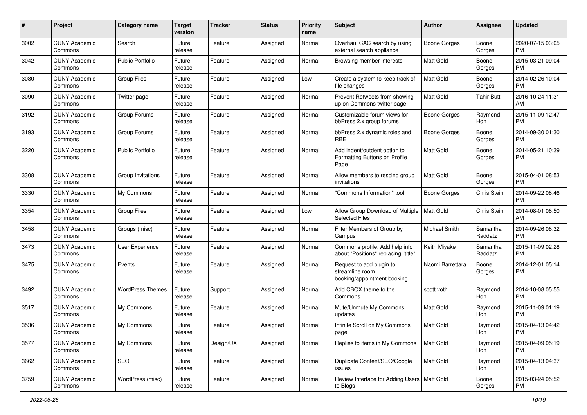| #    | Project                         | <b>Category name</b>    | <b>Target</b><br>version | <b>Tracker</b> | <b>Status</b> | <b>Priority</b><br>name | Subject                                                                    | Author              | <b>Assignee</b>     | <b>Updated</b>                |
|------|---------------------------------|-------------------------|--------------------------|----------------|---------------|-------------------------|----------------------------------------------------------------------------|---------------------|---------------------|-------------------------------|
| 3002 | <b>CUNY Academic</b><br>Commons | Search                  | Future<br>release        | Feature        | Assigned      | Normal                  | Overhaul CAC search by using<br>external search appliance                  | Boone Gorges        | Boone<br>Gorges     | 2020-07-15 03:05<br><b>PM</b> |
| 3042 | <b>CUNY Academic</b><br>Commons | <b>Public Portfolio</b> | Future<br>release        | Feature        | Assigned      | Normal                  | Browsing member interests                                                  | Matt Gold           | Boone<br>Gorges     | 2015-03-21 09:04<br><b>PM</b> |
| 3080 | <b>CUNY Academic</b><br>Commons | <b>Group Files</b>      | Future<br>release        | Feature        | Assigned      | Low                     | Create a system to keep track of<br>file changes                           | <b>Matt Gold</b>    | Boone<br>Gorges     | 2014-02-26 10:04<br><b>PM</b> |
| 3090 | <b>CUNY Academic</b><br>Commons | Twitter page            | Future<br>release        | Feature        | Assigned      | Normal                  | Prevent Retweets from showing<br>up on Commons twitter page                | <b>Matt Gold</b>    | <b>Tahir Butt</b>   | 2016-10-24 11:31<br>AM        |
| 3192 | <b>CUNY Academic</b><br>Commons | Group Forums            | Future<br>release        | Feature        | Assigned      | Normal                  | Customizable forum views for<br>bbPress 2.x group forums                   | Boone Gorges        | Raymond<br>Hoh      | 2015-11-09 12:47<br><b>PM</b> |
| 3193 | <b>CUNY Academic</b><br>Commons | Group Forums            | Future<br>release        | Feature        | Assigned      | Normal                  | bbPress 2.x dynamic roles and<br><b>RBE</b>                                | <b>Boone Gorges</b> | Boone<br>Gorges     | 2014-09-30 01:30<br>PM        |
| 3220 | <b>CUNY Academic</b><br>Commons | <b>Public Portfolio</b> | Future<br>release        | Feature        | Assigned      | Normal                  | Add indent/outdent option to<br>Formatting Buttons on Profile<br>Page      | Matt Gold           | Boone<br>Gorges     | 2014-05-21 10:39<br>PM        |
| 3308 | <b>CUNY Academic</b><br>Commons | Group Invitations       | Future<br>release        | Feature        | Assigned      | Normal                  | Allow members to rescind group<br>invitations                              | Matt Gold           | Boone<br>Gorges     | 2015-04-01 08:53<br>PM        |
| 3330 | <b>CUNY Academic</b><br>Commons | My Commons              | Future<br>release        | Feature        | Assigned      | Normal                  | 'Commons Information" tool                                                 | <b>Boone Gorges</b> | Chris Stein         | 2014-09-22 08:46<br><b>PM</b> |
| 3354 | <b>CUNY Academic</b><br>Commons | <b>Group Files</b>      | Future<br>release        | Feature        | Assigned      | Low                     | Allow Group Download of Multiple<br><b>Selected Files</b>                  | Matt Gold           | Chris Stein         | 2014-08-01 08:50<br>AM        |
| 3458 | <b>CUNY Academic</b><br>Commons | Groups (misc)           | Future<br>release        | Feature        | Assigned      | Normal                  | Filter Members of Group by<br>Campus                                       | Michael Smith       | Samantha<br>Raddatz | 2014-09-26 08:32<br><b>PM</b> |
| 3473 | <b>CUNY Academic</b><br>Commons | User Experience         | Future<br>release        | Feature        | Assigned      | Normal                  | Commons profile: Add help info<br>about "Positions" replacing "title"      | Keith Miyake        | Samantha<br>Raddatz | 2015-11-09 02:28<br><b>PM</b> |
| 3475 | <b>CUNY Academic</b><br>Commons | Events                  | Future<br>release        | Feature        | Assigned      | Normal                  | Request to add plugin to<br>streamline room<br>booking/appointment booking | Naomi Barrettara    | Boone<br>Gorges     | 2014-12-01 05:14<br><b>PM</b> |
| 3492 | <b>CUNY Academic</b><br>Commons | <b>WordPress Themes</b> | Future<br>release        | Support        | Assigned      | Normal                  | Add CBOX theme to the<br>Commons                                           | scott voth          | Raymond<br>Hoh      | 2014-10-08 05:55<br><b>PM</b> |
| 3517 | <b>CUNY Academic</b><br>Commons | My Commons              | Future<br>release        | Feature        | Assigned      | Normal                  | Mute/Unmute My Commons<br>updates                                          | Matt Gold           | Raymond<br>Hoh      | 2015-11-09 01:19<br><b>PM</b> |
| 3536 | <b>CUNY Academic</b><br>Commons | My Commons              | Future<br>release        | Feature        | Assigned      | Normal                  | Infinite Scroll on My Commons<br>page                                      | Matt Gold           | Raymond<br>Hoh      | 2015-04-13 04:42<br>PM        |
| 3577 | <b>CUNY Academic</b><br>Commons | My Commons              | Future<br>release        | Design/UX      | Assigned      | Normal                  | Replies to items in My Commons                                             | Matt Gold           | Raymond<br>Hoh      | 2015-04-09 05:19<br>PM        |
| 3662 | <b>CUNY Academic</b><br>Commons | SEO                     | Future<br>release        | Feature        | Assigned      | Normal                  | Duplicate Content/SEO/Google<br>issues                                     | Matt Gold           | Raymond<br>Hoh      | 2015-04-13 04:37<br>PM        |
| 3759 | <b>CUNY Academic</b><br>Commons | WordPress (misc)        | Future<br>release        | Feature        | Assigned      | Normal                  | Review Interface for Adding Users   Matt Gold<br>to Blogs                  |                     | Boone<br>Gorges     | 2015-03-24 05:52<br>PM        |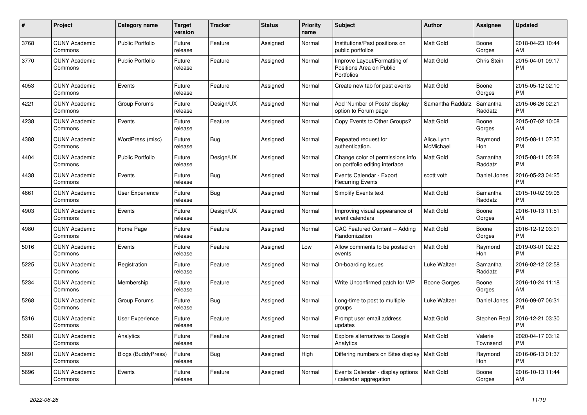| #    | <b>Project</b>                  | <b>Category name</b>      | <b>Target</b><br>version | <b>Tracker</b> | <b>Status</b> | <b>Priority</b><br>name | <b>Subject</b>                                                         | <b>Author</b>           | Assignee            | <b>Updated</b>                |
|------|---------------------------------|---------------------------|--------------------------|----------------|---------------|-------------------------|------------------------------------------------------------------------|-------------------------|---------------------|-------------------------------|
| 3768 | <b>CUNY Academic</b><br>Commons | <b>Public Portfolio</b>   | Future<br>release        | Feature        | Assigned      | Normal                  | Institutions/Past positions on<br>public portfolios                    | <b>Matt Gold</b>        | Boone<br>Gorges     | 2018-04-23 10:44<br>AM        |
| 3770 | <b>CUNY Academic</b><br>Commons | <b>Public Portfolio</b>   | Future<br>release        | Feature        | Assigned      | Normal                  | Improve Layout/Formatting of<br>Positions Area on Public<br>Portfolios | Matt Gold               | Chris Stein         | 2015-04-01 09:17<br><b>PM</b> |
| 4053 | <b>CUNY Academic</b><br>Commons | Events                    | Future<br>release        | Feature        | Assigned      | Normal                  | Create new tab for past events                                         | Matt Gold               | Boone<br>Gorges     | 2015-05-12 02:10<br><b>PM</b> |
| 4221 | <b>CUNY Academic</b><br>Commons | Group Forums              | Future<br>release        | Design/UX      | Assigned      | Normal                  | Add 'Number of Posts' display<br>option to Forum page                  | Samantha Raddatz        | Samantha<br>Raddatz | 2015-06-26 02:21<br><b>PM</b> |
| 4238 | <b>CUNY Academic</b><br>Commons | Events                    | Future<br>release        | Feature        | Assigned      | Normal                  | Copy Events to Other Groups?                                           | Matt Gold               | Boone<br>Gorges     | 2015-07-02 10:08<br>AM        |
| 4388 | <b>CUNY Academic</b><br>Commons | WordPress (misc)          | Future<br>release        | Bug            | Assigned      | Normal                  | Repeated request for<br>authentication.                                | Alice.Lynn<br>McMichael | Raymond<br>Hoh      | 2015-08-11 07:35<br><b>PM</b> |
| 4404 | <b>CUNY Academic</b><br>Commons | <b>Public Portfolio</b>   | Future<br>release        | Design/UX      | Assigned      | Normal                  | Change color of permissions info<br>on portfolio editing interface     | <b>Matt Gold</b>        | Samantha<br>Raddatz | 2015-08-11 05:28<br><b>PM</b> |
| 4438 | <b>CUNY Academic</b><br>Commons | Events                    | Future<br>release        | <b>Bug</b>     | Assigned      | Normal                  | Events Calendar - Export<br><b>Recurring Events</b>                    | scott voth              | Daniel Jones        | 2016-05-23 04:25<br><b>PM</b> |
| 4661 | <b>CUNY Academic</b><br>Commons | User Experience           | Future<br>release        | Bug            | Assigned      | Normal                  | Simplify Events text                                                   | <b>Matt Gold</b>        | Samantha<br>Raddatz | 2015-10-02 09:06<br><b>PM</b> |
| 4903 | <b>CUNY Academic</b><br>Commons | Events                    | Future<br>release        | Design/UX      | Assigned      | Normal                  | Improving visual appearance of<br>event calendars                      | Matt Gold               | Boone<br>Gorges     | 2016-10-13 11:51<br>AM        |
| 4980 | <b>CUNY Academic</b><br>Commons | Home Page                 | Future<br>release        | Feature        | Assigned      | Normal                  | CAC Featured Content -- Adding<br>Randomization                        | Matt Gold               | Boone<br>Gorges     | 2016-12-12 03:01<br><b>PM</b> |
| 5016 | <b>CUNY Academic</b><br>Commons | Events                    | Future<br>release        | Feature        | Assigned      | Low                     | Allow comments to be posted on<br>events                               | <b>Matt Gold</b>        | Raymond<br>Hoh      | 2019-03-01 02:23<br><b>PM</b> |
| 5225 | <b>CUNY Academic</b><br>Commons | Registration              | Future<br>release        | Feature        | Assigned      | Normal                  | On-boarding Issues                                                     | Luke Waltzer            | Samantha<br>Raddatz | 2016-02-12 02:58<br><b>PM</b> |
| 5234 | <b>CUNY Academic</b><br>Commons | Membership                | Future<br>release        | Feature        | Assigned      | Normal                  | Write Unconfirmed patch for WP                                         | Boone Gorges            | Boone<br>Gorges     | 2016-10-24 11:18<br>AM        |
| 5268 | <b>CUNY Academic</b><br>Commons | Group Forums              | Future<br>release        | Bug            | Assigned      | Normal                  | Long-time to post to multiple<br>groups                                | Luke Waltzer            | Daniel Jones        | 2016-09-07 06:31<br><b>PM</b> |
| 5316 | <b>CUNY Academic</b><br>Commons | <b>User Experience</b>    | Future<br>release        | Feature        | Assigned      | Normal                  | Prompt user email address<br>updates                                   | Matt Gold               | Stephen Real        | 2016-12-21 03:30<br><b>PM</b> |
| 5581 | <b>CUNY Academic</b><br>Commons | Analytics                 | Future<br>release        | Feature        | Assigned      | Normal                  | <b>Explore alternatives to Google</b><br>Analytics                     | Matt Gold               | Valerie<br>Townsend | 2020-04-17 03:12<br><b>PM</b> |
| 5691 | <b>CUNY Academic</b><br>Commons | <b>Blogs (BuddyPress)</b> | Future<br>release        | Bug            | Assigned      | High                    | Differing numbers on Sites display   Matt Gold                         |                         | Raymond<br>Hoh      | 2016-06-13 01:37<br><b>PM</b> |
| 5696 | <b>CUNY Academic</b><br>Commons | Events                    | Future<br>release        | Feature        | Assigned      | Normal                  | Events Calendar - display options<br>calendar aggregation /            | <b>Matt Gold</b>        | Boone<br>Gorges     | 2016-10-13 11:44<br>AM        |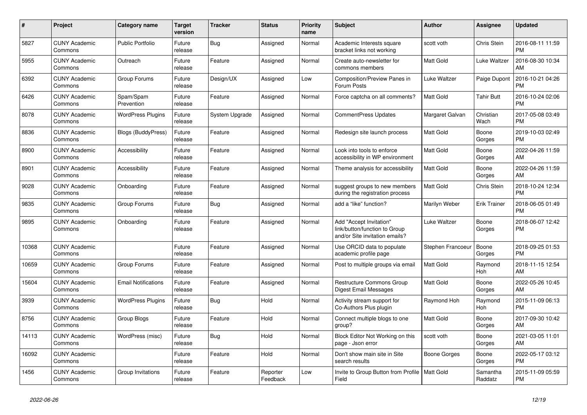| $\#$  | Project                         | <b>Category name</b>       | <b>Target</b><br>version | <b>Tracker</b> | <b>Status</b>        | <b>Priority</b><br>name | <b>Subject</b>                                                                             | Author            | Assignee            | <b>Updated</b>                |
|-------|---------------------------------|----------------------------|--------------------------|----------------|----------------------|-------------------------|--------------------------------------------------------------------------------------------|-------------------|---------------------|-------------------------------|
| 5827  | <b>CUNY Academic</b><br>Commons | <b>Public Portfolio</b>    | Future<br>release        | Bug            | Assigned             | Normal                  | Academic Interests square<br>bracket links not working                                     | scott voth        | Chris Stein         | 2016-08-11 11:59<br><b>PM</b> |
| 5955  | <b>CUNY Academic</b><br>Commons | Outreach                   | Future<br>release        | Feature        | Assigned             | Normal                  | Create auto-newsletter for<br>commons members                                              | <b>Matt Gold</b>  | Luke Waltzer        | 2016-08-30 10:34<br>AM        |
| 6392  | <b>CUNY Academic</b><br>Commons | Group Forums               | Future<br>release        | Design/UX      | Assigned             | Low                     | Composition/Preview Panes in<br>Forum Posts                                                | Luke Waltzer      | Paige Dupont        | 2016-10-21 04:26<br><b>PM</b> |
| 6426  | <b>CUNY Academic</b><br>Commons | Spam/Spam<br>Prevention    | Future<br>release        | Feature        | Assigned             | Normal                  | Force captcha on all comments?                                                             | <b>Matt Gold</b>  | <b>Tahir Butt</b>   | 2016-10-24 02:06<br><b>PM</b> |
| 8078  | <b>CUNY Academic</b><br>Commons | <b>WordPress Plugins</b>   | Future<br>release        | System Upgrade | Assigned             | Normal                  | <b>CommentPress Updates</b>                                                                | Margaret Galvan   | Christian<br>Wach   | 2017-05-08 03:49<br><b>PM</b> |
| 8836  | <b>CUNY Academic</b><br>Commons | <b>Blogs (BuddyPress)</b>  | Future<br>release        | Feature        | Assigned             | Normal                  | Redesign site launch process                                                               | Matt Gold         | Boone<br>Gorges     | 2019-10-03 02:49<br><b>PM</b> |
| 8900  | <b>CUNY Academic</b><br>Commons | Accessibility              | Future<br>release        | Feature        | Assigned             | Normal                  | Look into tools to enforce<br>accessibility in WP environment                              | <b>Matt Gold</b>  | Boone<br>Gorges     | 2022-04-26 11:59<br>AM        |
| 8901  | <b>CUNY Academic</b><br>Commons | Accessibility              | Future<br>release        | Feature        | Assigned             | Normal                  | Theme analysis for accessibility                                                           | <b>Matt Gold</b>  | Boone<br>Gorges     | 2022-04-26 11:59<br>AM        |
| 9028  | <b>CUNY Academic</b><br>Commons | Onboarding                 | Future<br>release        | Feature        | Assigned             | Normal                  | suggest groups to new members<br>during the registration process                           | Matt Gold         | Chris Stein         | 2018-10-24 12:34<br><b>PM</b> |
| 9835  | <b>CUNY Academic</b><br>Commons | Group Forums               | Future<br>release        | Bug            | Assigned             | Normal                  | add a "like" function?                                                                     | Marilyn Weber     | <b>Erik Trainer</b> | 2018-06-05 01:49<br><b>PM</b> |
| 9895  | <b>CUNY Academic</b><br>Commons | Onboarding                 | Future<br>release        | Feature        | Assigned             | Normal                  | Add "Accept Invitation"<br>link/button/function to Group<br>and/or Site invitation emails? | Luke Waltzer      | Boone<br>Gorges     | 2018-06-07 12:42<br><b>PM</b> |
| 10368 | <b>CUNY Academic</b><br>Commons |                            | Future<br>release        | Feature        | Assigned             | Normal                  | Use ORCID data to populate<br>academic profile page                                        | Stephen Francoeur | Boone<br>Gorges     | 2018-09-25 01:53<br><b>PM</b> |
| 10659 | <b>CUNY Academic</b><br>Commons | Group Forums               | Future<br>release        | Feature        | Assigned             | Normal                  | Post to multiple groups via email                                                          | <b>Matt Gold</b>  | Raymond<br>Hoh      | 2018-11-15 12:54<br>AM        |
| 15604 | <b>CUNY Academic</b><br>Commons | <b>Email Notifications</b> | Future<br>release        | Feature        | Assigned             | Normal                  | Restructure Commons Group<br>Digest Email Messages                                         | <b>Matt Gold</b>  | Boone<br>Gorges     | 2022-05-26 10:45<br>AM        |
| 3939  | <b>CUNY Academic</b><br>Commons | <b>WordPress Plugins</b>   | Future<br>release        | <b>Bug</b>     | Hold                 | Normal                  | Activity stream support for<br>Co-Authors Plus plugin                                      | Raymond Hoh       | Raymond<br>Hoh      | 2015-11-09 06:13<br><b>PM</b> |
| 8756  | <b>CUNY Academic</b><br>Commons | Group Blogs                | Future<br>release        | Feature        | Hold                 | Normal                  | Connect multiple blogs to one<br>group?                                                    | Matt Gold         | Boone<br>Gorges     | 2017-09-30 10:42<br>AM        |
| 14113 | <b>CUNY Academic</b><br>Commons | WordPress (misc)           | Future<br>release        | Bug            | Hold                 | Normal                  | Block Editor Not Working on this<br>page - Json error                                      | scott voth        | Boone<br>Gorges     | 2021-03-05 11:01<br>AM        |
| 16092 | <b>CUNY Academic</b><br>Commons |                            | Future<br>release        | Feature        | Hold                 | Normal                  | Don't show main site in Site<br>search results                                             | Boone Gorges      | Boone<br>Gorges     | 2022-05-17 03:12<br><b>PM</b> |
| 1456  | <b>CUNY Academic</b><br>Commons | Group Invitations          | Future<br>release        | Feature        | Reporter<br>Feedback | Low                     | Invite to Group Button from Profile   Matt Gold<br>Field                                   |                   | Samantha<br>Raddatz | 2015-11-09 05:59<br><b>PM</b> |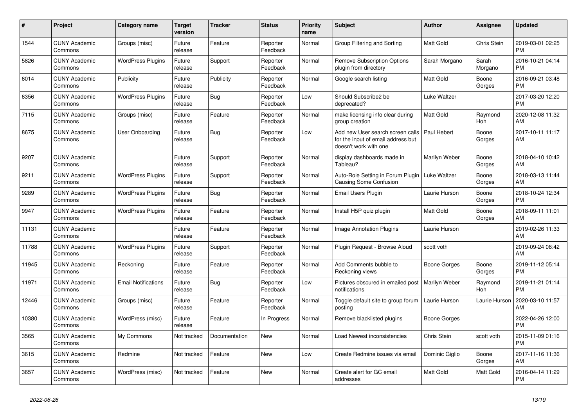| #     | <b>Project</b>                  | Category name              | <b>Target</b><br>version | <b>Tracker</b> | <b>Status</b>        | <b>Priority</b><br>name | <b>Subject</b>                                                                                  | <b>Author</b>    | <b>Assignee</b>  | <b>Updated</b>                |
|-------|---------------------------------|----------------------------|--------------------------|----------------|----------------------|-------------------------|-------------------------------------------------------------------------------------------------|------------------|------------------|-------------------------------|
| 1544  | <b>CUNY Academic</b><br>Commons | Groups (misc)              | Future<br>release        | Feature        | Reporter<br>Feedback | Normal                  | Group Filtering and Sorting                                                                     | <b>Matt Gold</b> | Chris Stein      | 2019-03-01 02:25<br><b>PM</b> |
| 5826  | <b>CUNY Academic</b><br>Commons | <b>WordPress Plugins</b>   | Future<br>release        | Support        | Reporter<br>Feedback | Normal                  | <b>Remove Subscription Options</b><br>plugin from directory                                     | Sarah Morgano    | Sarah<br>Morgano | 2016-10-21 04:14<br><b>PM</b> |
| 6014  | <b>CUNY Academic</b><br>Commons | Publicity                  | Future<br>release        | Publicity      | Reporter<br>Feedback | Normal                  | Google search listing                                                                           | Matt Gold        | Boone<br>Gorges  | 2016-09-21 03:48<br><b>PM</b> |
| 6356  | <b>CUNY Academic</b><br>Commons | <b>WordPress Plugins</b>   | Future<br>release        | Bug            | Reporter<br>Feedback | Low                     | Should Subscribe2 be<br>deprecated?                                                             | Luke Waltzer     |                  | 2017-03-20 12:20<br><b>PM</b> |
| 7115  | <b>CUNY Academic</b><br>Commons | Groups (misc)              | Future<br>release        | Feature        | Reporter<br>Feedback | Normal                  | make licensing info clear during<br>group creation                                              | <b>Matt Gold</b> | Raymond<br>Hoh   | 2020-12-08 11:32<br>AM        |
| 8675  | <b>CUNY Academic</b><br>Commons | User Onboarding            | Future<br>release        | Bug            | Reporter<br>Feedback | Low                     | Add new User search screen calls<br>for the input of email address but<br>doesn't work with one | Paul Hebert      | Boone<br>Gorges  | 2017-10-11 11:17<br>AM        |
| 9207  | <b>CUNY Academic</b><br>Commons |                            | Future<br>release        | Support        | Reporter<br>Feedback | Normal                  | display dashboards made in<br>Tableau?                                                          | Marilyn Weber    | Boone<br>Gorges  | 2018-04-10 10:42<br>AM        |
| 9211  | <b>CUNY Academic</b><br>Commons | <b>WordPress Plugins</b>   | Future<br>release        | Support        | Reporter<br>Feedback | Normal                  | Auto-Role Setting in Forum Plugin<br><b>Causing Some Confusion</b>                              | Luke Waltzer     | Boone<br>Gorges  | 2018-03-13 11:44<br>AM        |
| 9289  | <b>CUNY Academic</b><br>Commons | <b>WordPress Plugins</b>   | Future<br>release        | Bug            | Reporter<br>Feedback | Normal                  | Email Users Plugin                                                                              | Laurie Hurson    | Boone<br>Gorges  | 2018-10-24 12:34<br><b>PM</b> |
| 9947  | <b>CUNY Academic</b><br>Commons | <b>WordPress Plugins</b>   | Future<br>release        | Feature        | Reporter<br>Feedback | Normal                  | Install H5P quiz plugin                                                                         | <b>Matt Gold</b> | Boone<br>Gorges  | 2018-09-11 11:01<br>AM        |
| 11131 | <b>CUNY Academic</b><br>Commons |                            | Future<br>release        | Feature        | Reporter<br>Feedback | Normal                  | <b>Image Annotation Plugins</b>                                                                 | Laurie Hurson    |                  | 2019-02-26 11:33<br>AM        |
| 11788 | <b>CUNY Academic</b><br>Commons | <b>WordPress Plugins</b>   | Future<br>release        | Support        | Reporter<br>Feedback | Normal                  | Plugin Request - Browse Aloud                                                                   | scott voth       |                  | 2019-09-24 08:42<br>AM        |
| 11945 | <b>CUNY Academic</b><br>Commons | Reckoning                  | Future<br>release        | Feature        | Reporter<br>Feedback | Normal                  | Add Comments bubble to<br>Reckoning views                                                       | Boone Gorges     | Boone<br>Gorges  | 2019-11-12 05:14<br><b>PM</b> |
| 11971 | <b>CUNY Academic</b><br>Commons | <b>Email Notifications</b> | Future<br>release        | Bug            | Reporter<br>Feedback | Low                     | Pictures obscured in emailed post<br>notifications                                              | Marilyn Weber    | Raymond<br>Hoh   | 2019-11-21 01:14<br><b>PM</b> |
| 12446 | <b>CUNY Academic</b><br>Commons | Groups (misc)              | Future<br>release        | Feature        | Reporter<br>Feedback | Normal                  | Toggle default site to group forum<br>posting                                                   | Laurie Hurson    | Laurie Hurson    | 2020-03-10 11:57<br>AM        |
| 10380 | <b>CUNY Academic</b><br>Commons | WordPress (misc)           | Future<br>release        | Feature        | In Progress          | Normal                  | Remove blacklisted plugins                                                                      | Boone Gorges     |                  | 2022-04-26 12:00<br><b>PM</b> |
| 3565  | <b>CUNY Academic</b><br>Commons | My Commons                 | Not tracked              | Documentation  | <b>New</b>           | Normal                  | Load Newest inconsistencies                                                                     | Chris Stein      | scott voth       | 2015-11-09 01:16<br><b>PM</b> |
| 3615  | <b>CUNY Academic</b><br>Commons | Redmine                    | Not tracked              | Feature        | <b>New</b>           | Low                     | Create Redmine issues via email                                                                 | Dominic Giglio   | Boone<br>Gorges  | 2017-11-16 11:36<br>AM        |
| 3657  | <b>CUNY Academic</b><br>Commons | WordPress (misc)           | Not tracked              | Feature        | <b>New</b>           | Normal                  | Create alert for GC email<br>addresses                                                          | <b>Matt Gold</b> | Matt Gold        | 2016-04-14 11:29<br><b>PM</b> |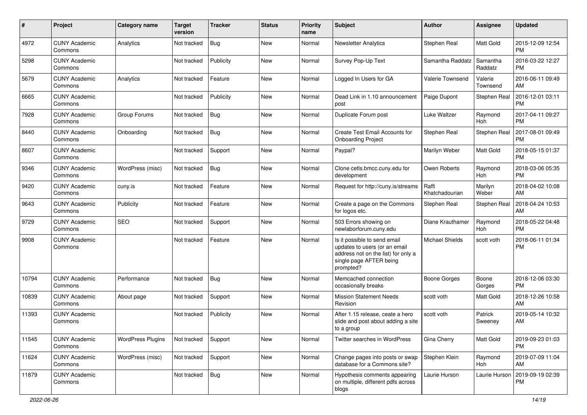| #     | Project                         | <b>Category name</b>     | <b>Target</b><br>version | <b>Tracker</b> | <b>Status</b> | <b>Priority</b><br>name | <b>Subject</b>                                                                                                                               | <b>Author</b>           | <b>Assignee</b>     | <b>Updated</b>                |
|-------|---------------------------------|--------------------------|--------------------------|----------------|---------------|-------------------------|----------------------------------------------------------------------------------------------------------------------------------------------|-------------------------|---------------------|-------------------------------|
| 4972  | <b>CUNY Academic</b><br>Commons | Analytics                | Not tracked              | <b>Bug</b>     | <b>New</b>    | Normal                  | <b>Newsletter Analytics</b>                                                                                                                  | Stephen Real            | Matt Gold           | 2015-12-09 12:54<br><b>PM</b> |
| 5298  | <b>CUNY Academic</b><br>Commons |                          | Not tracked              | Publicity      | New           | Normal                  | Survey Pop-Up Text                                                                                                                           | Samantha Raddatz        | Samantha<br>Raddatz | 2016-03-22 12:27<br><b>PM</b> |
| 5679  | <b>CUNY Academic</b><br>Commons | Analytics                | Not tracked              | Feature        | New           | Normal                  | Logged In Users for GA                                                                                                                       | Valerie Townsend        | Valerie<br>Townsend | 2016-06-11 09:49<br>AM        |
| 6665  | <b>CUNY Academic</b><br>Commons |                          | Not tracked              | Publicity      | <b>New</b>    | Normal                  | Dead Link in 1.10 announcement<br>post                                                                                                       | Paige Dupont            | Stephen Real        | 2016-12-01 03:11<br><b>PM</b> |
| 7928  | <b>CUNY Academic</b><br>Commons | Group Forums             | Not tracked              | Bug            | <b>New</b>    | Normal                  | Duplicate Forum post                                                                                                                         | <b>Luke Waltzer</b>     | Raymond<br>Hoh      | 2017-04-11 09:27<br><b>PM</b> |
| 8440  | <b>CUNY Academic</b><br>Commons | Onboarding               | Not tracked              | <b>Bug</b>     | <b>New</b>    | Normal                  | Create Test Email Accounts for<br><b>Onboarding Project</b>                                                                                  | Stephen Real            | Stephen Real        | 2017-08-01 09:49<br><b>PM</b> |
| 8607  | <b>CUNY Academic</b><br>Commons |                          | Not tracked              | Support        | <b>New</b>    | Normal                  | Paypal?                                                                                                                                      | Marilyn Weber           | Matt Gold           | 2018-05-15 01:37<br><b>PM</b> |
| 9346  | <b>CUNY Academic</b><br>Commons | WordPress (misc)         | Not tracked              | <b>Bug</b>     | <b>New</b>    | Normal                  | Clone cetls.bmcc.cuny.edu for<br>development                                                                                                 | Owen Roberts            | Raymond<br>Hoh      | 2018-03-06 05:35<br><b>PM</b> |
| 9420  | <b>CUNY Academic</b><br>Commons | cuny.is                  | Not tracked              | Feature        | New           | Normal                  | Request for http://cuny.is/streams                                                                                                           | Raffi<br>Khatchadourian | Marilyn<br>Weber    | 2018-04-02 10:08<br>AM        |
| 9643  | <b>CUNY Academic</b><br>Commons | Publicity                | Not tracked              | Feature        | <b>New</b>    | Normal                  | Create a page on the Commons<br>for logos etc.                                                                                               | Stephen Real            | Stephen Real        | 2018-04-24 10:53<br>AM        |
| 9729  | <b>CUNY Academic</b><br>Commons | <b>SEO</b>               | Not tracked              | Support        | <b>New</b>    | Normal                  | 503 Errors showing on<br>newlaborforum.cuny.edu                                                                                              | Diane Krauthamer        | Raymond<br>Hoh      | 2018-05-22 04:48<br><b>PM</b> |
| 9908  | <b>CUNY Academic</b><br>Commons |                          | Not tracked              | Feature        | <b>New</b>    | Normal                  | Is it possible to send email<br>updates to users (or an email<br>address not on the list) for only a<br>single page AFTER being<br>prompted? | <b>Michael Shields</b>  | scott voth          | 2018-06-11 01:34<br><b>PM</b> |
| 10794 | <b>CUNY Academic</b><br>Commons | Performance              | Not tracked              | <b>Bug</b>     | New           | Normal                  | Memcached connection<br>occasionally breaks                                                                                                  | <b>Boone Gorges</b>     | Boone<br>Gorges     | 2018-12-06 03:30<br><b>PM</b> |
| 10839 | <b>CUNY Academic</b><br>Commons | About page               | Not tracked              | Support        | <b>New</b>    | Normal                  | <b>Mission Statement Needs</b><br>Revision                                                                                                   | scott voth              | Matt Gold           | 2018-12-26 10:58<br>AM        |
| 11393 | <b>CUNY Academic</b><br>Commons |                          | Not tracked              | Publicity      | <b>New</b>    | Normal                  | After 1.15 release, ceate a hero<br>slide and post about adding a site<br>to a group                                                         | scott voth              | Patrick<br>Sweeney  | 2019-05-14 10:32<br>AM        |
| 11545 | <b>CUNY Academic</b><br>Commons | <b>WordPress Plugins</b> | Not tracked              | Support        | New           | Normal                  | Twitter searches in WordPress                                                                                                                | Gina Cherry             | Matt Gold           | 2019-09-23 01:03<br><b>PM</b> |
| 11624 | <b>CUNY Academic</b><br>Commons | WordPress (misc)         | Not tracked              | Support        | New           | Normal                  | Change pages into posts or swap<br>database for a Commons site?                                                                              | Stephen Klein           | Raymond<br>Hoh      | 2019-07-09 11:04<br>AM        |
| 11879 | <b>CUNY Academic</b><br>Commons |                          | Not tracked              | Bug            | New           | Normal                  | Hypothesis comments appearing<br>on multiple, different pdfs across<br>blogs                                                                 | Laurie Hurson           | Laurie Hurson       | 2019-09-19 02:39<br>PM        |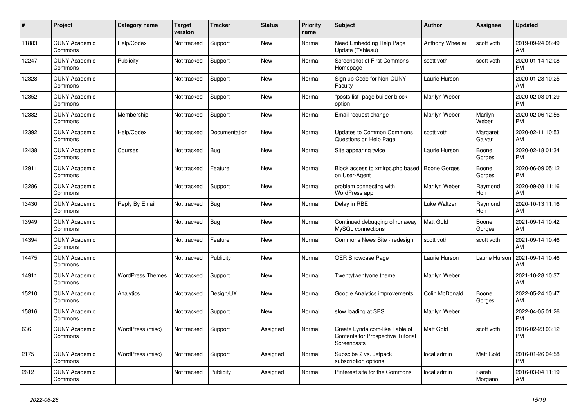| #     | Project                         | <b>Category name</b>    | <b>Target</b><br>version | <b>Tracker</b> | <b>Status</b> | Priority<br>name | <b>Subject</b>                                                                            | <b>Author</b>       | <b>Assignee</b>       | <b>Updated</b>                |
|-------|---------------------------------|-------------------------|--------------------------|----------------|---------------|------------------|-------------------------------------------------------------------------------------------|---------------------|-----------------------|-------------------------------|
| 11883 | <b>CUNY Academic</b><br>Commons | Help/Codex              | Not tracked              | Support        | <b>New</b>    | Normal           | Need Embedding Help Page<br>Update (Tableau)                                              | Anthony Wheeler     | scott voth            | 2019-09-24 08:49<br>AM        |
| 12247 | <b>CUNY Academic</b><br>Commons | Publicity               | Not tracked              | Support        | <b>New</b>    | Normal           | <b>Screenshot of First Commons</b><br>Homepage                                            | scott voth          | scott voth            | 2020-01-14 12:08<br><b>PM</b> |
| 12328 | <b>CUNY Academic</b><br>Commons |                         | Not tracked              | Support        | <b>New</b>    | Normal           | Sign up Code for Non-CUNY<br>Faculty                                                      | Laurie Hurson       |                       | 2020-01-28 10:25<br>AM        |
| 12352 | <b>CUNY Academic</b><br>Commons |                         | Not tracked              | Support        | <b>New</b>    | Normal           | "posts list" page builder block<br>option                                                 | Marilyn Weber       |                       | 2020-02-03 01:29<br><b>PM</b> |
| 12382 | <b>CUNY Academic</b><br>Commons | Membership              | Not tracked              | Support        | <b>New</b>    | Normal           | Email request change                                                                      | Marilyn Weber       | Marilyn<br>Weber      | 2020-02-06 12:56<br><b>PM</b> |
| 12392 | <b>CUNY Academic</b><br>Commons | Help/Codex              | Not tracked              | Documentation  | New           | Normal           | <b>Updates to Common Commons</b><br>Questions on Help Page                                | scott voth          | Margaret<br>Galvan    | 2020-02-11 10:53<br>AM        |
| 12438 | <b>CUNY Academic</b><br>Commons | Courses                 | Not tracked              | <b>Bug</b>     | <b>New</b>    | Normal           | Site appearing twice                                                                      | Laurie Hurson       | Boone<br>Gorges       | 2020-02-18 01:34<br><b>PM</b> |
| 12911 | <b>CUNY Academic</b><br>Commons |                         | Not tracked              | Feature        | <b>New</b>    | Normal           | Block access to xmlrpc.php based<br>on User-Agent                                         | <b>Boone Gorges</b> | Boone<br>Gorges       | 2020-06-09 05:12<br><b>PM</b> |
| 13286 | <b>CUNY Academic</b><br>Commons |                         | Not tracked              | Support        | <b>New</b>    | Normal           | problem connecting with<br>WordPress app                                                  | Marilyn Weber       | Raymond<br><b>Hoh</b> | 2020-09-08 11:16<br>AM        |
| 13430 | <b>CUNY Academic</b><br>Commons | Reply By Email          | Not tracked              | <b>Bug</b>     | New           | Normal           | Delay in RBE                                                                              | Luke Waltzer        | Raymond<br><b>Hoh</b> | 2020-10-13 11:16<br>AM        |
| 13949 | <b>CUNY Academic</b><br>Commons |                         | Not tracked              | Bug            | <b>New</b>    | Normal           | Continued debugging of runaway<br>MySQL connections                                       | Matt Gold           | Boone<br>Gorges       | 2021-09-14 10:42<br>AM        |
| 14394 | <b>CUNY Academic</b><br>Commons |                         | Not tracked              | Feature        | <b>New</b>    | Normal           | Commons News Site - redesign                                                              | scott voth          | scott voth            | 2021-09-14 10:46<br>AM        |
| 14475 | <b>CUNY Academic</b><br>Commons |                         | Not tracked              | Publicity      | <b>New</b>    | Normal           | <b>OER Showcase Page</b>                                                                  | Laurie Hurson       | Laurie Hurson         | 2021-09-14 10:46<br>AM        |
| 14911 | <b>CUNY Academic</b><br>Commons | <b>WordPress Themes</b> | Not tracked              | Support        | <b>New</b>    | Normal           | Twentytwentyone theme                                                                     | Marilyn Weber       |                       | 2021-10-28 10:37<br>AM        |
| 15210 | <b>CUNY Academic</b><br>Commons | Analytics               | Not tracked              | Design/UX      | <b>New</b>    | Normal           | Google Analytics improvements                                                             | Colin McDonald      | Boone<br>Gorges       | 2022-05-24 10:47<br>AM        |
| 15816 | <b>CUNY Academic</b><br>Commons |                         | Not tracked              | Support        | <b>New</b>    | Normal           | slow loading at SPS                                                                       | Marilyn Weber       |                       | 2022-04-05 01:26<br><b>PM</b> |
| 636   | <b>CUNY Academic</b><br>Commons | WordPress (misc)        | Not tracked              | Support        | Assigned      | Normal           | Create Lynda.com-like Table of<br><b>Contents for Prospective Tutorial</b><br>Screencasts | Matt Gold           | scott voth            | 2016-02-23 03:12<br><b>PM</b> |
| 2175  | <b>CUNY Academic</b><br>Commons | WordPress (misc)        | Not tracked              | Support        | Assigned      | Normal           | Subscibe 2 vs. Jetpack<br>subscription options                                            | local admin         | Matt Gold             | 2016-01-26 04:58<br><b>PM</b> |
| 2612  | <b>CUNY Academic</b><br>Commons |                         | Not tracked              | Publicity      | Assigned      | Normal           | Pinterest site for the Commons                                                            | local admin         | Sarah<br>Morgano      | 2016-03-04 11:19<br>AM        |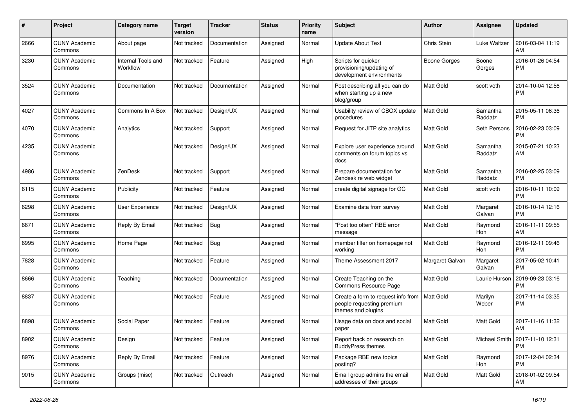| #    | Project                         | <b>Category name</b>           | <b>Target</b><br>version | <b>Tracker</b> | <b>Status</b> | <b>Priority</b><br>name | <b>Subject</b>                                                                        | <b>Author</b>   | Assignee              | <b>Updated</b>                |
|------|---------------------------------|--------------------------------|--------------------------|----------------|---------------|-------------------------|---------------------------------------------------------------------------------------|-----------------|-----------------------|-------------------------------|
| 2666 | <b>CUNY Academic</b><br>Commons | About page                     | Not tracked              | Documentation  | Assigned      | Normal                  | <b>Update About Text</b>                                                              | Chris Stein     | Luke Waltzer          | 2016-03-04 11:19<br>AM        |
| 3230 | <b>CUNY Academic</b><br>Commons | Internal Tools and<br>Workflow | Not tracked              | Feature        | Assigned      | High                    | Scripts for quicker<br>provisioning/updating of<br>development environments           | Boone Gorges    | Boone<br>Gorges       | 2016-01-26 04:54<br><b>PM</b> |
| 3524 | <b>CUNY Academic</b><br>Commons | Documentation                  | Not tracked              | Documentation  | Assigned      | Normal                  | Post describing all you can do<br>when starting up a new<br>blog/group                | Matt Gold       | scott voth            | 2014-10-04 12:56<br><b>PM</b> |
| 4027 | <b>CUNY Academic</b><br>Commons | Commons In A Box               | Not tracked              | Design/UX      | Assigned      | Normal                  | Usability review of CBOX update<br>procedures                                         | Matt Gold       | Samantha<br>Raddatz   | 2015-05-11 06:36<br><b>PM</b> |
| 4070 | <b>CUNY Academic</b><br>Commons | Analytics                      | Not tracked              | Support        | Assigned      | Normal                  | Request for JITP site analytics                                                       | Matt Gold       | Seth Persons          | 2016-02-23 03:09<br><b>PM</b> |
| 4235 | <b>CUNY Academic</b><br>Commons |                                | Not tracked              | Design/UX      | Assigned      | Normal                  | Explore user experience around<br>comments on forum topics vs<br>docs                 | Matt Gold       | Samantha<br>Raddatz   | 2015-07-21 10:23<br>AM        |
| 4986 | <b>CUNY Academic</b><br>Commons | ZenDesk                        | Not tracked              | Support        | Assigned      | Normal                  | Prepare documentation for<br>Zendesk re web widget                                    | Matt Gold       | Samantha<br>Raddatz   | 2016-02-25 03:09<br><b>PM</b> |
| 6115 | <b>CUNY Academic</b><br>Commons | Publicity                      | Not tracked              | Feature        | Assigned      | Normal                  | create digital signage for GC                                                         | Matt Gold       | scott voth            | 2016-10-11 10:09<br><b>PM</b> |
| 6298 | <b>CUNY Academic</b><br>Commons | User Experience                | Not tracked              | Design/UX      | Assigned      | Normal                  | Examine data from survey                                                              | Matt Gold       | Margaret<br>Galvan    | 2016-10-14 12:16<br><b>PM</b> |
| 6671 | <b>CUNY Academic</b><br>Commons | Reply By Email                 | Not tracked              | Bug            | Assigned      | Normal                  | "Post too often" RBE error<br>message                                                 | Matt Gold       | Raymond<br>Hoh        | 2016-11-11 09:55<br>AM        |
| 6995 | <b>CUNY Academic</b><br>Commons | Home Page                      | Not tracked              | Bug            | Assigned      | Normal                  | member filter on homepage not<br>working                                              | Matt Gold       | Raymond<br>Hoh        | 2016-12-11 09:46<br><b>PM</b> |
| 7828 | <b>CUNY Academic</b><br>Commons |                                | Not tracked              | Feature        | Assigned      | Normal                  | Theme Assessment 2017                                                                 | Margaret Galvan | Margaret<br>Galvan    | 2017-05-02 10:41<br><b>PM</b> |
| 8666 | <b>CUNY Academic</b><br>Commons | Teaching                       | Not tracked              | Documentation  | Assigned      | Normal                  | Create Teaching on the<br>Commons Resource Page                                       | Matt Gold       | Laurie Hurson         | 2019-09-23 03:16<br><b>PM</b> |
| 8837 | <b>CUNY Academic</b><br>Commons |                                | Not tracked              | Feature        | Assigned      | Normal                  | Create a form to request info from<br>people requesting premium<br>themes and plugins | Matt Gold       | Marilyn<br>Weber      | 2017-11-14 03:35<br>PM        |
| 8898 | <b>CUNY Academic</b><br>Commons | Social Paper                   | Not tracked              | Feature        | Assigned      | Normal                  | Usage data on docs and social<br>paper                                                | Matt Gold       | Matt Gold             | 2017-11-16 11:32<br>AM        |
| 8902 | <b>CUNY Academic</b><br>Commons | Design                         | Not tracked              | Feature        | Assigned      | Normal                  | Report back on research on<br><b>BuddyPress themes</b>                                | Matt Gold       | Michael Smith         | 2017-11-10 12:31<br>PM        |
| 8976 | <b>CUNY Academic</b><br>Commons | Reply By Email                 | Not tracked              | Feature        | Assigned      | Normal                  | Package RBE new topics<br>posting?                                                    | Matt Gold       | Raymond<br><b>Hoh</b> | 2017-12-04 02:34<br><b>PM</b> |
| 9015 | <b>CUNY Academic</b><br>Commons | Groups (misc)                  | Not tracked              | Outreach       | Assigned      | Normal                  | Email group admins the email<br>addresses of their groups                             | Matt Gold       | Matt Gold             | 2018-01-02 09:54<br>AM        |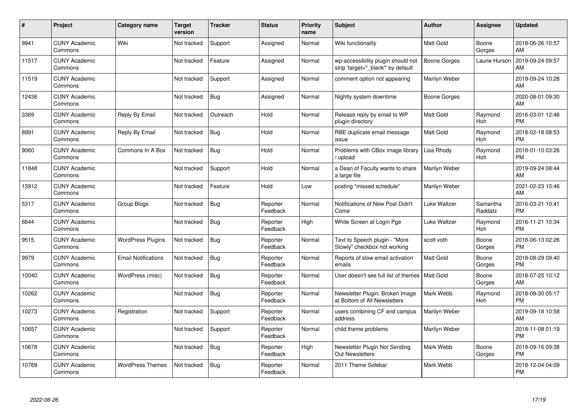| #     | Project                         | <b>Category name</b>       | Target<br>version | <b>Tracker</b> | <b>Status</b>        | <b>Priority</b><br>name | <b>Subject</b>                                                           | <b>Author</b>       | <b>Assignee</b>       | <b>Updated</b>                |
|-------|---------------------------------|----------------------------|-------------------|----------------|----------------------|-------------------------|--------------------------------------------------------------------------|---------------------|-----------------------|-------------------------------|
| 9941  | <b>CUNY Academic</b><br>Commons | Wiki                       | Not tracked       | Support        | Assigned             | Normal                  | Wiki functionality                                                       | <b>Matt Gold</b>    | Boone<br>Gorges       | 2018-06-26 10:57<br>AM        |
| 11517 | <b>CUNY Academic</b><br>Commons |                            | Not tracked       | Feature        | Assigned             | Normal                  | wp-accessibility plugin should not<br>strip 'target="_blank"' by default | <b>Boone Gorges</b> | Laurie Hurson         | 2019-09-24 09:57<br>AM        |
| 11519 | <b>CUNY Academic</b><br>Commons |                            | Not tracked       | Support        | Assigned             | Normal                  | comment option not appearing                                             | Marilyn Weber       |                       | 2019-09-24 10:28<br>AM        |
| 12436 | <b>CUNY Academic</b><br>Commons |                            | Not tracked       | <b>Bug</b>     | Assigned             | Normal                  | Nightly system downtime                                                  | Boone Gorges        |                       | 2020-08-01 09:30<br>AM        |
| 3369  | <b>CUNY Academic</b><br>Commons | Reply By Email             | Not tracked       | Outreach       | Hold                 | Normal                  | Release reply by email to WP<br>plugin directory                         | <b>Matt Gold</b>    | Raymond<br><b>Hoh</b> | 2016-03-01 12:46<br><b>PM</b> |
| 8991  | <b>CUNY Academic</b><br>Commons | Reply By Email             | Not tracked       | Bug            | Hold                 | Normal                  | RBE duplicate email message<br>issue                                     | Matt Gold           | Raymond<br>Hoh        | 2018-02-18 08:53<br><b>PM</b> |
| 9060  | <b>CUNY Academic</b><br>Commons | Commons In A Box           | Not tracked       | Bug            | Hold                 | Normal                  | Problems with CBox image library<br>upload                               | Lisa Rhody          | Raymond<br>Hoh        | 2018-01-10 03:26<br><b>PM</b> |
| 11848 | <b>CUNY Academic</b><br>Commons |                            | Not tracked       | Support        | Hold                 | Normal                  | a Dean of Faculty wants to share<br>a large file                         | Marilyn Weber       |                       | 2019-09-24 08:44<br>AM        |
| 13912 | <b>CUNY Academic</b><br>Commons |                            | Not tracked       | Feature        | Hold                 | Low                     | posting "missed schedule"                                                | Marilyn Weber       |                       | 2021-02-23 10:46<br>AM        |
| 5317  | <b>CUNY Academic</b><br>Commons | <b>Group Blogs</b>         | Not tracked       | Bug            | Reporter<br>Feedback | Normal                  | Notifications of New Post Didn't<br>Come                                 | Luke Waltzer        | Samantha<br>Raddatz   | 2016-03-21 10:41<br><b>PM</b> |
| 6644  | <b>CUNY Academic</b><br>Commons |                            | Not tracked       | Bug            | Reporter<br>Feedback | High                    | White Screen at Login Pge                                                | Luke Waltzer        | Raymond<br>Hoh        | 2016-11-21 10:34<br><b>PM</b> |
| 9515  | <b>CUNY Academic</b><br>Commons | <b>WordPress Plugins</b>   | Not tracked       | Bug            | Reporter<br>Feedback | Normal                  | Text to Speech plugin - "More<br>Slowly" checkbox not working            | scott voth          | Boone<br>Gorges       | 2018-06-13 02:26<br><b>PM</b> |
| 9979  | <b>CUNY Academic</b><br>Commons | <b>Email Notifications</b> | Not tracked       | <b>Bug</b>     | Reporter<br>Feedback | Normal                  | Reports of slow email activation<br>emails                               | <b>Matt Gold</b>    | Boone<br>Gorges       | 2018-08-29 09:40<br><b>PM</b> |
| 10040 | <b>CUNY Academic</b><br>Commons | WordPress (misc)           | Not tracked       | <b>Bug</b>     | Reporter<br>Feedback | Normal                  | User doesn't see full list of themes   Matt Gold                         |                     | Boone<br>Gorges       | 2018-07-25 10:12<br>AM        |
| 10262 | <b>CUNY Academic</b><br>Commons |                            | Not tracked       | Bug            | Reporter<br>Feedback | Normal                  | Newsletter Plugin: Broken Image<br>at Bottom of All Newsletters          | Mark Webb           | Raymond<br>Hoh        | 2018-08-30 05:17<br><b>PM</b> |
| 10273 | <b>CUNY Academic</b><br>Commons | Registration               | Not tracked       | Support        | Reporter<br>Feedback | Normal                  | users combining CF and campus<br>address                                 | Marilyn Weber       |                       | 2019-09-18 10:58<br>AM        |
| 10657 | <b>CUNY Academic</b><br>Commons |                            | Not tracked       | Support        | Reporter<br>Feedback | Normal                  | child theme problems                                                     | Marilyn Weber       |                       | 2018-11-08 01:19<br><b>PM</b> |
| 10678 | <b>CUNY Academic</b><br>Commons |                            | Not tracked       | Bug            | Reporter<br>Feedback | High                    | Newsletter Plugin Not Sending<br><b>Out Newsletters</b>                  | Mark Webb           | Boone<br>Gorges       | 2019-09-16 09:38<br><b>PM</b> |
| 10769 | <b>CUNY Academic</b><br>Commons | <b>WordPress Themes</b>    | Not tracked       | <b>Bug</b>     | Reporter<br>Feedback | Normal                  | 2011 Theme Sidebar                                                       | Mark Webb           |                       | 2018-12-04 04:09<br>PM        |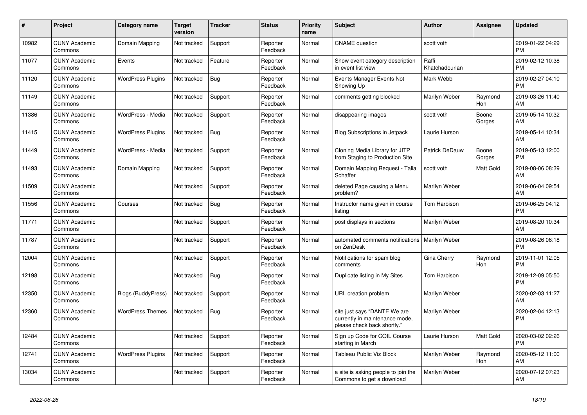| #     | Project                         | <b>Category name</b>     | <b>Target</b><br>version | <b>Tracker</b> | <b>Status</b>        | <b>Priority</b><br>name | <b>Subject</b>                                                                                | <b>Author</b>           | <b>Assignee</b>       | <b>Updated</b>                |
|-------|---------------------------------|--------------------------|--------------------------|----------------|----------------------|-------------------------|-----------------------------------------------------------------------------------------------|-------------------------|-----------------------|-------------------------------|
| 10982 | <b>CUNY Academic</b><br>Commons | Domain Mapping           | Not tracked              | Support        | Reporter<br>Feedback | Normal                  | <b>CNAME</b> question                                                                         | scott voth              |                       | 2019-01-22 04:29<br><b>PM</b> |
| 11077 | <b>CUNY Academic</b><br>Commons | Events                   | Not tracked              | Feature        | Reporter<br>Feedback | Normal                  | Show event category description<br>in event list view                                         | Raffi<br>Khatchadourian |                       | 2019-02-12 10:38<br><b>PM</b> |
| 11120 | <b>CUNY Academic</b><br>Commons | <b>WordPress Plugins</b> | Not tracked              | <b>Bug</b>     | Reporter<br>Feedback | Normal                  | Events Manager Events Not<br>Showing Up                                                       | Mark Webb               |                       | 2019-02-27 04:10<br><b>PM</b> |
| 11149 | <b>CUNY Academic</b><br>Commons |                          | Not tracked              | Support        | Reporter<br>Feedback | Normal                  | comments getting blocked                                                                      | Marilyn Weber           | Raymond<br>Hoh        | 2019-03-26 11:40<br>AM        |
| 11386 | <b>CUNY Academic</b><br>Commons | WordPress - Media        | Not tracked              | Support        | Reporter<br>Feedback | Normal                  | disappearing images                                                                           | scott voth              | Boone<br>Gorges       | 2019-05-14 10:32<br>AM        |
| 11415 | <b>CUNY Academic</b><br>Commons | <b>WordPress Plugins</b> | Not tracked              | <b>Bug</b>     | Reporter<br>Feedback | Normal                  | Blog Subscriptions in Jetpack                                                                 | Laurie Hurson           |                       | 2019-05-14 10:34<br>AM        |
| 11449 | <b>CUNY Academic</b><br>Commons | WordPress - Media        | Not tracked              | Support        | Reporter<br>Feedback | Normal                  | Cloning Media Library for JITP<br>from Staging to Production Site                             | Patrick DeDauw          | Boone<br>Gorges       | 2019-05-13 12:00<br><b>PM</b> |
| 11493 | <b>CUNY Academic</b><br>Commons | Domain Mapping           | Not tracked              | Support        | Reporter<br>Feedback | Normal                  | Domain Mapping Request - Talia<br>Schaffer                                                    | scott voth              | Matt Gold             | 2019-08-06 08:39<br>AM        |
| 11509 | <b>CUNY Academic</b><br>Commons |                          | Not tracked              | Support        | Reporter<br>Feedback | Normal                  | deleted Page causing a Menu<br>problem?                                                       | Marilyn Weber           |                       | 2019-06-04 09:54<br>AM        |
| 11556 | <b>CUNY Academic</b><br>Commons | Courses                  | Not tracked              | Bug            | Reporter<br>Feedback | Normal                  | Instructor name given in course<br>listing                                                    | Tom Harbison            |                       | 2019-06-25 04:12<br><b>PM</b> |
| 11771 | <b>CUNY Academic</b><br>Commons |                          | Not tracked              | Support        | Reporter<br>Feedback | Normal                  | post displays in sections                                                                     | Marilyn Weber           |                       | 2019-08-20 10:34<br>AM        |
| 11787 | <b>CUNY Academic</b><br>Commons |                          | Not tracked              | Support        | Reporter<br>Feedback | Normal                  | automated comments notifications   Marilyn Weber<br>on ZenDesk                                |                         |                       | 2019-08-26 06:18<br><b>PM</b> |
| 12004 | <b>CUNY Academic</b><br>Commons |                          | Not tracked              | Support        | Reporter<br>Feedback | Normal                  | Notifications for spam blog<br>comments                                                       | Gina Cherry             | Raymond<br>Hoh        | 2019-11-01 12:05<br><b>PM</b> |
| 12198 | <b>CUNY Academic</b><br>Commons |                          | Not tracked              | Bug            | Reporter<br>Feedback | Normal                  | Duplicate listing in My Sites                                                                 | Tom Harbison            |                       | 2019-12-09 05:50<br><b>PM</b> |
| 12350 | <b>CUNY Academic</b><br>Commons | Blogs (BuddyPress)       | Not tracked              | Support        | Reporter<br>Feedback | Normal                  | URL creation problem                                                                          | Marilyn Weber           |                       | 2020-02-03 11:27<br>AM        |
| 12360 | <b>CUNY Academic</b><br>Commons | <b>WordPress Themes</b>  | Not tracked              | <b>Bug</b>     | Reporter<br>Feedback | Normal                  | site just says "DANTE We are<br>currently in maintenance mode,<br>please check back shortly." | Marilyn Weber           |                       | 2020-02-04 12:13<br><b>PM</b> |
| 12484 | <b>CUNY Academic</b><br>Commons |                          | Not tracked              | Support        | Reporter<br>Feedback | Normal                  | Sign up Code for COIL Course<br>starting in March                                             | Laurie Hurson           | Matt Gold             | 2020-03-02 02:26<br><b>PM</b> |
| 12741 | <b>CUNY Academic</b><br>Commons | <b>WordPress Plugins</b> | Not tracked              | Support        | Reporter<br>Feedback | Normal                  | Tableau Public Viz Block                                                                      | Marilyn Weber           | Raymond<br><b>Hoh</b> | 2020-05-12 11:00<br>AM        |
| 13034 | <b>CUNY Academic</b><br>Commons |                          | Not tracked              | Support        | Reporter<br>Feedback | Normal                  | a site is asking people to join the<br>Commons to get a download                              | Marilyn Weber           |                       | 2020-07-12 07:23<br>AM        |